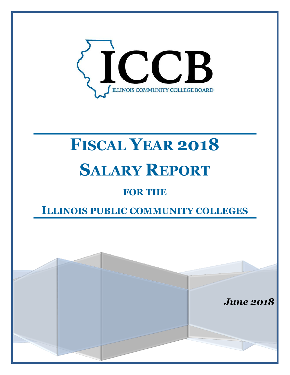

# **FISCAL YEAR 2018 SALARY REPORT**

## **FOR THE**

## **ILLINOIS PUBLIC COMMUNITY COLLEGES**

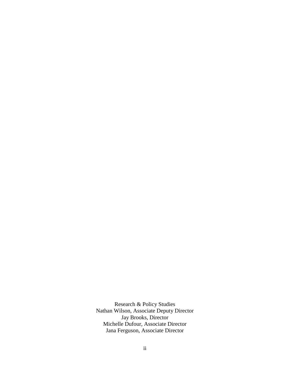Research & Policy Studies Nathan Wilson, Associate Deputy Director Jay Brooks, Director Michelle Dufour, Associate Director Jana Ferguson, Associate Director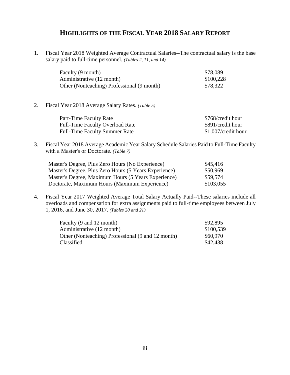## **HIGHLIGHTS OF THE FISCAL YEAR 2018 SALARY REPORT**

1. Fiscal Year 2018 Weighted Average Contractual Salaries--The contractual salary is the base salary paid to full-time personnel. *(Tables 2, 11, and 14)*

| Faculty (9 month)                          | \$78,089  |
|--------------------------------------------|-----------|
| Administrative (12 month)                  | \$100,228 |
| Other (Nonteaching) Professional (9 month) | \$78,322  |

2. Fiscal Year 2018 Average Salary Rates. *(Table 5)*

| Part-Time Faculty Rate                 | \$768/credit hour   |
|----------------------------------------|---------------------|
| <b>Full-Time Faculty Overload Rate</b> | \$891/credit hour   |
| <b>Full-Time Faculty Summer Rate</b>   | \$1,007/credit hour |

3. Fiscal Year 2018 Average Academic Year Salary Schedule Salaries Paid to Full-Time Faculty with a Master's or Doctorate. *(Table 7)*

| Master's Degree, Plus Zero Hours (No Experience)      | \$45,416  |
|-------------------------------------------------------|-----------|
| Master's Degree, Plus Zero Hours (5 Years Experience) | \$50,969  |
| Master's Degree, Maximum Hours (5 Years Experience)   | \$59,574  |
| Doctorate, Maximum Hours (Maximum Experience)         | \$103,055 |

4. Fiscal Year 2017 Weighted Average Total Salary Actually Paid--These salaries include all overloads and compensation for extra assignments paid to full-time employees between July 1, 2016, and June 30, 2017. *(Tables 20 and 21)*

| Faculty (9 and 12 month)                          | \$92,895  |
|---------------------------------------------------|-----------|
| Administrative (12 month)                         | \$100,539 |
| Other (Nonteaching) Professional (9 and 12 month) | \$60,970  |
| Classified                                        | \$42,438  |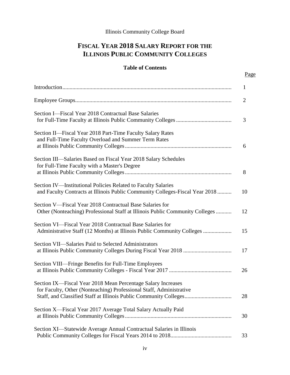## **FISCAL YEAR 2018 SALARY REPORT FOR THE ILLINOIS PUBLIC COMMUNITY COLLEGES**

## **Table of Contents**

|                                                                                                                                               | $\mathbf{1}$   |
|-----------------------------------------------------------------------------------------------------------------------------------------------|----------------|
|                                                                                                                                               | $\overline{2}$ |
| Section I—Fiscal Year 2018 Contractual Base Salaries                                                                                          | 3              |
| Section II—Fiscal Year 2018 Part-Time Faculty Salary Rates<br>and Full-Time Faculty Overload and Summer Term Rates                            | 6              |
| Section III—Salaries Based on Fiscal Year 2018 Salary Schedules<br>for Full-Time Faculty with a Master's Degree                               | 8              |
| Section IV-Institutional Policies Related to Faculty Salaries<br>and Faculty Contracts at Illinois Public Community Colleges-Fiscal Year 2018 | 10             |
| Section V—Fiscal Year 2018 Contractual Base Salaries for<br>Other (Nonteaching) Professional Staff at Illinois Public Community Colleges      | 12             |
| Section VI—Fiscal Year 2018 Contractual Base Salaries for<br>Administrative Staff (12 Months) at Illinois Public Community Colleges           | 15             |
| Section VII—Salaries Paid to Selected Administrators                                                                                          | 17             |
| Section VIII—Fringe Benefits for Full-Time Employees                                                                                          | 26             |
| Section IX-Fiscal Year 2018 Mean Percentage Salary Increases<br>for Faculty, Other (Nonteaching) Professional Staff, Administrative           | 28             |
| Section X-Fiscal Year 2017 Average Total Salary Actually Paid                                                                                 | 30             |
| Section XI-Statewide Average Annual Contractual Salaries in Illinois                                                                          | 33             |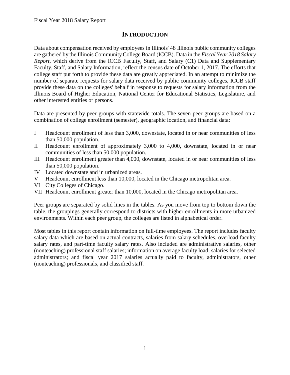## **INTRODUCTION**

<span id="page-4-0"></span>Data about compensation received by employees in Illinois' 48 Illinois public community colleges are gathered by the Illinois Community College Board (ICCB). Data in the *Fiscal Year 2018 Salary Report*, which derive from the ICCB Faculty, Staff, and Salary (C1) Data and Supplementary Faculty, Staff, and Salary Information, reflect the census date of October 1, 2017. The efforts that college staff put forth to provide these data are greatly appreciated. In an attempt to minimize the number of separate requests for salary data received by public community colleges, ICCB staff provide these data on the colleges' behalf in response to requests for salary information from the Illinois Board of Higher Education, National Center for Educational Statistics, Legislature, and other interested entities or persons.

Data are presented by peer groups with statewide totals. The seven peer groups are based on a combination of college enrollment (semester), geographic location, and financial data:

- I Headcount enrollment of less than 3,000, downstate, located in or near communities of less than 50,000 population.
- II Headcount enrollment of approximately 3,000 to 4,000, downstate, located in or near communities of less than 50,000 population.
- III Headcount enrollment greater than 4,000, downstate, located in or near communities of less than 50,000 population.
- IV Located downstate and in urbanized areas.
- V Headcount enrollment less than 10,000, located in the Chicago metropolitan area.
- VI City Colleges of Chicago.
- VII Headcount enrollment greater than 10,000, located in the Chicago metropolitan area.

Peer groups are separated by solid lines in the tables. As you move from top to bottom down the table, the groupings generally correspond to districts with higher enrollments in more urbanized environments. Within each peer group, the colleges are listed in alphabetical order.

Most tables in this report contain information on full-time employees. The report includes faculty salary data which are based on actual contracts, salaries from salary schedules, overload faculty salary rates, and part-time faculty salary rates. Also included are administrative salaries, other (nonteaching) professional staff salaries; information on average faculty load; salaries for selected administrators; and fiscal year 2017 salaries actually paid to faculty, administrators, other (nonteaching) professionals, and classified staff.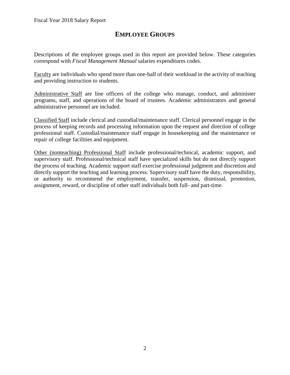## **EMPLOYEE GROUPS**

<span id="page-5-0"></span>Descriptions of the employee groups used in this report are provided below. These categories correspond with *Fiscal Management Manual* salaries expenditures codes.

Faculty are individuals who spend more than one-half of their workload in the activity of teaching and providing instruction to students.

Administrative Staff are line officers of the college who manage, conduct, and administer programs, staff, and operations of the board of trustees. Academic administrators and general administrative personnel are included.

Classified Staff include clerical and custodial/maintenance staff. Clerical personnel engage in the process of keeping records and processing information upon the request and direction of college professional staff. Custodial/maintenance staff engage in housekeeping and the maintenance or repair of college facilities and equipment.

Other (nonteaching) Professional Staff include professional/technical, academic support, and supervisory staff. Professional/technical staff have specialized skills but do not directly support the process of teaching. Academic support staff exercise professional judgment and discretion and directly support the teaching and learning process. Supervisory staff have the duty, responsibility, or authority to recommend the employment, transfer, suspension, dismissal, promotion, assignment, reward, or discipline of other staff individuals both full- and part-time.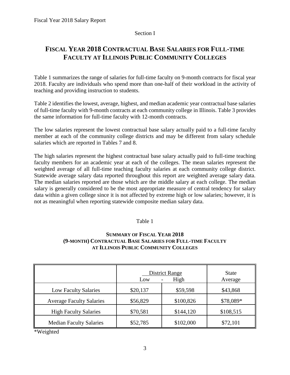## Section I

## <span id="page-6-0"></span>**FISCAL YEAR 2018 CONTRACTUAL BASE SALARIES FOR FULL-TIME FACULTY AT ILLINOIS PUBLIC COMMUNITY COLLEGES**

Table 1 summarizes the range of salaries for full-time faculty on 9-month contracts for fiscal year 2018. Faculty are individuals who spend more than one-half of their workload in the activity of teaching and providing instruction to students.

Table 2 identifies the lowest, average, highest, and median academic year contractual base salaries of full-time faculty with 9-month contracts at each community college in Illinois. Table 3 provides the same information for full-time faculty with 12-month contracts.

The low salaries represent the lowest contractual base salary actually paid to a full-time faculty member at each of the community college districts and may be different from salary schedule salaries which are reported in Tables 7 and 8.

The high salaries represent the highest contractual base salary actually paid to full-time teaching faculty members for an academic year at each of the colleges. The mean salaries represent the weighted average of all full-time teaching faculty salaries at each community college district. Statewide average salary data reported throughout this report are weighted average salary data. The median salaries reported are those which are the middle salary at each college. The median salary is generally considered to be the most appropriate measure of central tendency for salary data within a given college since it is not affected by extreme high or low salaries; however, it is not as meaningful when reporting statewide composite median salary data.

## Table 1

## **(9-MONTH) CONTRACTUAL BASE SALARIES FOR FULL-TIME FACULTY SUMMARY OF FISCAL YEAR 2018 AT ILLINOIS PUBLIC COMMUNITY COLLEGES**

|                                 | <b>District Range</b><br>Low | <b>State</b><br>Average |           |
|---------------------------------|------------------------------|-------------------------|-----------|
| <b>Low Faculty Salaries</b>     | \$20,137                     | \$59,598                | \$43,868  |
| <b>Average Faculty Salaries</b> | \$56,829                     | \$100,826               | \$78,089* |
| <b>High Faculty Salaries</b>    | \$70,581                     | \$144,120               | \$108,515 |
| <b>Median Faculty Salaries</b>  | \$52,785                     | \$102,000               | \$72,101  |

\*Weighted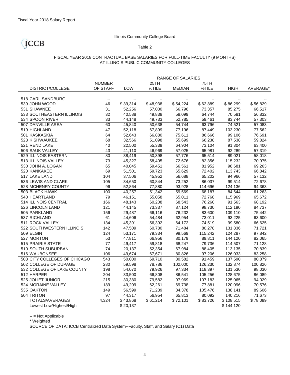ICCB

## Illinois Community College Board

### Table 2

### FISCAL YEAR 2018 CONTRACTUAL BASE SALARIES FOR FULL-TIME FACULTY (9 MONTHS) AT ILLINOIS PUBLIC COMMUNITY COLLEGES

|                              |                          | RANGE OF SALARIES        |          |                      |          |                       |                  |
|------------------------------|--------------------------|--------------------------|----------|----------------------|----------|-----------------------|------------------|
|                              | <b>NUMBER</b>            |                          | 25TH     |                      | 75TH     |                       |                  |
| <b>DISTRICT/COLLEGE</b>      | OF STAFF                 | LOW                      | %TILE    | <b>MEDIAN</b>        | %TILE    | <b>HIGH</b>           | AVERAGE*         |
|                              |                          |                          |          |                      |          |                       |                  |
| 518 CARL SANDBURG            | $\overline{\phantom{a}}$ | $\overline{\phantom{a}}$ |          |                      |          |                       |                  |
| 539 JOHN WOOD                | 46                       | \$39,314                 | \$48,938 | \$54,224             | \$62,889 | \$86,299              | \$56,829         |
| 531 SHAWNEE                  | 31                       | 52,256                   | 57,030   | 66,796               | 73,357   | 85,275                | 66,517           |
| 533 SOUTHEASTERN ILLINOIS    | 32                       | 40,588                   | 49,838   | 58,099               | 64,744   | 70,581                | 56,832           |
| 534 SPOON RIVER              | 33                       | 44,148                   | 49,733   | 52,785               | 59,461   | 83,744                | 57,303           |
| 507 DANVILLE AREA            | 60                       | 45,840                   | 50,638   | 54,744               | 63,796   | 74,521                | 57,083           |
| 519 HIGHLAND                 | 47                       | 52,118                   | 67,899   | 77,196               | 87,449   | 103,230               | 77,562           |
| 501 KASKASKIA                | 64                       | 52,643                   | 66,880   | 75,611               | 86,666   | 99,106                | 76,691           |
| 523 KISHWAUKEE               | 68                       | 32,566                   | 51,098   | 55,699               | 66,238   | 87,538                | 59,824           |
| 521 REND LAKE                | 40                       | 22,500                   | 55,339   | 64,904               | 73,104   | 91,304                | 63,400           |
| 506 SAUK VALLEY              | 43                       | 41,110                   | 46,969   | 57,025               | 65,981   | 92,289                | 57,319           |
| 529 ILLINOIS EASTERN         | 80                       | 38,419                   | 50,398   | 57,776               | 65,514   | 89,021                | 58,018           |
| 513 ILLINOIS VALLEY          | 73                       | 45,327                   | 58,405   | 72,676               | 82,356   | 115,232               | 70,975           |
| 530 JOHN A. LOGAN            | 65                       | 40,045                   | 59,451   | 66,561               | 81,952   | 98,681                | 69,263           |
| 520 KANKAKEE                 | 69                       | 51,501                   | 59,723   | 65,629               | 72,402   | 113,743               | 66,842           |
| 517 LAKE LAND                | 104                      | 37,506                   | 45,952   | 56,688               | 65,202   | 94,966                | 57,132           |
| 536 LEWIS AND CLARK          | 105                      | 34,650                   | 60,844   | 73,252               | 86,037   | 99,514                | 72,678           |
| 528 MCHENRY COUNTY           | 96                       | 52,864                   | 77,880   | 93,928               | 114,696  | 124,136               | 94,363           |
| 503 BLACK HAWK               | 100                      | 40,257                   | 51,342   | 59,569               | 68,187   | 84,644                | 61,263           |
| 540 HEARTLAND                | 79                       | 46,151                   | 55,058   | 65,011               | 72,768   | 115,969               | 65,672           |
| 514 ILLINOIS CENTRAL         | 166                      | 48,143                   | 60,208   | 68,543               | 76,260   | 91,563                | 68,192           |
| 526 LINCOLN LAND             | 121                      | 44,145                   | 73,337   | 87,124               | 98,730   | 112,190               | 84,737           |
| 505 PARKLAND                 | 156                      | 29,487                   | 66,116   | 76,232               | 83,600   | 109,110               | 75,442           |
| 537 RICHLAND                 | 61                       | 44,606                   | 54,484   | 62,954               | 73,011   | 93,225                | 63,600           |
| 511 ROCK VALLEY              | 134                      | 45,391                   | 56,392   | 64,172               | 74,519   | 99,580                | 66,625           |
| 522 SOUTHWESTERN ILLINOIS    | 142                      | 47,509                   | 60,780   | 71,484               | 80,278   | 131,836               | 71,721           |
| 509 ELGIN                    | 124                      | 53,171                   | 79,334   | 99,569               | 115,242  | 124,287               | 97,842           |
| 527 MORTON                   | 53                       | 47,811                   | 66,956   | 80,179               | 89,811   | 144,120               | 82,065           |
| 515 PRAIRIE STATE            | 77                       | 49,417                   | 59,818   | 68,247               | 79,736   | 114,507               | 71,128           |
| 510 SOUTH SUBURBAN           | 74                       | 20,137                   | 52,354   | 67,984               | 88,405   | 113,135               | 70,839           |
| 516 WAUBONSEE                | 106                      | 49,674                   | 67,671   | 80,826               | 97,206   | 126,033               | 83,258           |
| 508 CITY COLLEGES OF CHICAGO | 543                      | 50,000                   | 69,710   | 80,582               | 91,459   | 137,590               | 80,879           |
| 502 COLLEGE OF DUPAGE        | 280                      | 59,598                   | 78,786   | 102,000              | 126,230  | 132,874               | 100,826          |
| 532 COLLEGE OF LAKE COUNTY   | 198                      | 54,070                   | 79,926   | 97,334               | 118,397  | 131,530               | 98,030           |
| 512 HARPER                   | 204                      | 33,500                   | 66,808   | 86,541               | 105,256  | 128,675               | 86,089           |
| 525 JOLIET JUNIOR            | 215                      | 30,380                   | 79,582   | 97,969               | 107,183  | 125,065               | 94,029           |
| 524 MORAINE VALLEY           | 189                      | 49,209                   | 62,261   | 69,738               | 77,881   | 120,096               | 70,576           |
| 535 OAKTON                   | 149                      | 56,599                   | 71,239   | 84,378               | 105,476  | 138,141               | 89,606           |
| 504 TRITON                   | 97                       | 44,317                   | 56,954   | 65,813               | 80,092   | 140,216               | 71,673           |
| TOTALS/AVERAGES              | 4,324                    | \$43,868                 | \$61,214 | $\overline{$}72,101$ | \$83,726 | $\overline{$}108,515$ | $\sqrt{$}78,089$ |
| Lowest Low/Highest/High      |                          | \$20,137                 |          |                      |          | \$144,120             |                  |

-- = Not Applicable

\* Weighted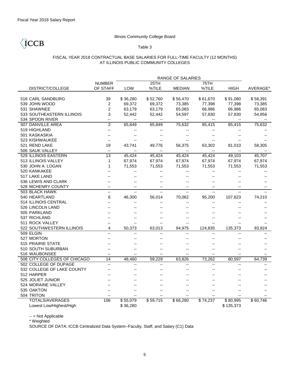ICCB

## Illinois Community College Board

## Table 3

#### FISCAL YEAR 2018 CONTRACTUAL BASE SALARIES FOR FULL-TIME FACULTY (12 MONTHS) AT ILLINOIS PUBLIC COMMUNITY COLLEGES

|                              |                          |                          |                | RANGE OF SALARIES        |                          |                |          |
|------------------------------|--------------------------|--------------------------|----------------|--------------------------|--------------------------|----------------|----------|
|                              | <b>NUMBER</b>            |                          | 25TH           |                          | 75TH                     |                |          |
| <b>DISTRICT/COLLEGE</b>      | OF STAFF                 | LOW                      | %TILE          | <b>MEDIAN</b>            | %TILE                    | <b>HIGH</b>    | AVERAGE* |
|                              |                          |                          |                |                          |                          |                |          |
| 518 CARL SANDBURG            | 39                       | \$36,280                 | \$52,760       | \$56,470                 | \$61,670                 | \$91,080       | \$58,391 |
| 539 JOHN WOOD                | 2                        | 69,372                   | 69,372         | 73,385                   | 77,398                   | 77,398         | 73,385   |
| 531 SHAWNEE                  | 2                        | 63,179                   | 63,179         | 65,083                   | 66,986                   | 66,986         | 65,083   |
| 533 SOUTHEASTERN ILLINOIS    | 3                        | 52,442                   | 52,442         | 54,597                   | 57,830                   | 57,830         | 54,956   |
| 534 SPOON RIVER              | --                       | --                       | --             | $\overline{\phantom{a}}$ |                          |                |          |
| 507 DANVILLE AREA            | $\overline{2}$           | 65,849                   | 65,849         | 75,632                   | 85,415                   | 85,415         | 75,632   |
| 519 HIGHLAND                 | --                       |                          |                |                          |                          |                |          |
| 501 KASKASKIA                |                          |                          |                |                          |                          |                |          |
| 523 KISHWAUKEE               |                          |                          |                |                          |                          |                |          |
| 521 REND LAKE                | 19                       | 43,741                   | 49,776         | 56,375                   | 63,302                   | 81,010         | 58,305   |
| 506 SAUK VALLEY              | --                       | --                       | --             | $\overline{\phantom{a}}$ | $\overline{\phantom{a}}$ | --             |          |
| 529 ILLINOIS EASTERN         | 13                       | 45,424                   | 45,424         | 45,424                   | 45.424                   | 49,103         | 45,707   |
| 513 ILLINOIS VALLEY          | 1                        | 67,974                   | 67,974         | 67,974                   | 67,974                   | 67,974         | 67,974   |
| 530 JOHN A. LOGAN            | 1                        | 71,553                   | 71,553         | 71,553                   | 71,553                   | 71,553         | 71,553   |
| 520 KANKAKEE                 |                          |                          |                |                          |                          |                |          |
| 517 LAKE LAND                |                          |                          |                |                          |                          |                |          |
| 536 LEWIS AND CLARK          |                          |                          |                |                          |                          |                |          |
| 528 MCHENRY COUNTY           | $\overline{a}$           |                          | --             |                          |                          | --             |          |
| 503 BLACK HAWK               | $\overline{\phantom{a}}$ | $\overline{\phantom{a}}$ | $\overline{a}$ | $\overline{a}$           | $\overline{a}$           | $\overline{a}$ |          |
| 540 HEARTLAND                | 6                        | 46,300                   | 56,014         | 70,062                   | 95,200                   | 107,623        | 74,210   |
| 514 ILLINOIS CENTRAL         |                          |                          |                |                          |                          | ٠.             |          |
| 526 LINCOLN LAND             |                          |                          |                |                          |                          |                |          |
| 505 PARKLAND                 |                          |                          |                |                          |                          |                |          |
| 537 RICHLAND                 |                          |                          |                |                          |                          | ۵.             |          |
| 511 ROCK VALLEY              | ۵.                       |                          | --             |                          |                          |                |          |
| 522 SOUTHWESTERN ILLINOIS    | 4                        | 50,373                   | 63,013         | 94,975                   | 124,835                  | 135,373        | 93,924   |
| 509 ELGIN                    | -−                       |                          |                |                          |                          |                |          |
| 527 MORTON                   |                          |                          |                |                          |                          |                |          |
| <b>515 PRAIRIE STATE</b>     |                          |                          |                |                          |                          |                |          |
| 510 SOUTH SUBURBAN           |                          |                          |                |                          |                          | ۵.             |          |
| 516 WAUBONSEE                |                          |                          | --             |                          |                          | --             |          |
| 508 CITY COLLEGES OF CHICAGO | 14                       | 48.460                   | 59.229         | 63,826                   | 73,262                   | 80,597         | 64,739   |
| 502 COLLEGE OF DUPAGE        | Ξ.                       |                          | $\overline{a}$ | Ξ.                       |                          | -−             |          |
| 532 COLLEGE OF LAKE COUNTY   |                          |                          |                |                          |                          |                |          |
| 512 HARPER                   |                          |                          |                |                          |                          |                |          |
| 525 JOLIET JUNIOR            |                          |                          |                |                          |                          |                |          |
| 524 MORAINE VALLEY           |                          |                          |                |                          |                          |                |          |
| 535 OAKTON                   |                          |                          |                |                          |                          | --             |          |
| 504 TRITON                   |                          |                          |                |                          |                          |                |          |
| <b>TOTALS/AVERAGES</b>       | 106                      | \$55,079                 | \$59,715       | \$66,280                 | \$74,237                 | \$80,995       | \$60,746 |
| Lowest Low/Highest/High      |                          | \$36,280                 |                |                          |                          | \$135,373      |          |

-- = Not Applicable

\* Weighted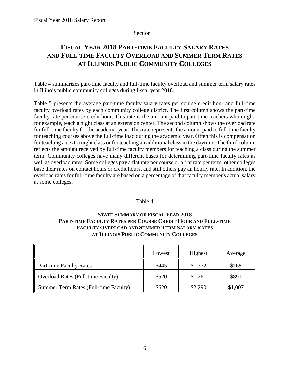## Section II

## <span id="page-9-0"></span>**FISCAL YEAR 2018 PART-TIME FACULTY SALARY RATES AND FULL-TIME FACULTY OVERLOAD AND SUMMER TERM RATES AT ILLINOIS PUBLIC COMMUNITY COLLEGES**

Table 4 summarizes part-time faculty and full-time faculty overload and summer term salary rates in Illinois public community colleges during fiscal year 2018.

Table 5 presents the average part-time faculty salary rates per course credit hour and full-time faculty overload rates by each community college district. The first column shows the part-time faculty rate per course credit hour. This rate is the amount paid to part-time teachers who might, for example, teach a night class at an extension center. The second column shows the overload rate for full-time faculty for the academic year. This rate represents the amount paid to full-time faculty for teaching courses above the full-time load during the academic year. Often this is compensation for teaching an extra night class or for teaching an additional class in the daytime. The third column reflects the amount received by full-time faculty members for teaching a class during the summer term. Community colleges have many different bases for determining part-time faculty rates as well as overload rates. Some colleges pay a flat rate per course or a flat rate per term, other colleges base their rates on contact hours or credit hours, and still others pay an hourly rate. In addition, the overload rates for full-time faculty are based on a percentage of that faculty member's actual salary at some colleges.

## Table 4

## **STATE SUMMARY OF FISCAL YEAR 2018 PART-TIME FACULTY RATES PER COURSE CREDIT HOUR AND FULL-TIME FACULTY OVERLOAD AND SUMMER TERM SALARY RATES AT ILLINOIS PUBLIC COMMUNITY COLLEGES**

|                                           | Lowest | Highest | Average |
|-------------------------------------------|--------|---------|---------|
| Part-time Faculty Rates                   | \$445  | \$1,372 | \$768   |
| <b>Overload Rates (Full-time Faculty)</b> | \$520  | \$1,261 | \$891   |
| Summer Term Rates (Full-time Faculty)     | \$620  | \$2,290 | \$1,007 |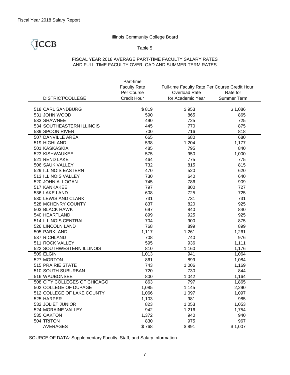## TCCB

### Table 5

## FISCAL YEAR 2018 AVERAGE PART-TIME FACULTY SALARY RATES AND FULL-TIME FACULTY OVERLOAD AND SUMMER TERM RATES

|                              | Part-time           |                                               |             |
|------------------------------|---------------------|-----------------------------------------------|-------------|
|                              | <b>Faculty Rate</b> | Full-time Faculty Rate Per Course Credit Hour |             |
|                              | Per Course          | Overload Rate                                 | Rate for    |
| DISTRICT/COLLEGE             | <b>Credit Hour</b>  | for Academic Year                             | Summer Term |
|                              |                     |                                               |             |
| 518 CARL SANDBURG            | \$819               | \$953                                         | \$1,086     |
| 531 JOHN WOOD                | 590                 | 865                                           | 865         |
| 533 SHAWNEE                  | 490                 | 725                                           | 725         |
| 534 SOUTHEASTERN ILLINOIS    | 445                 | 770                                           | 875         |
| 539 SPOON RIVER              | 700                 | 716                                           | 818         |
| 507 DANVILLE AREA            | 665                 | 680                                           | 680         |
| 519 HIGHLAND                 | 538                 | 1,204                                         | 1,177       |
| 501 KASKASKIA                | 485                 | 795                                           | 840         |
| 523 KISHWAUKEE               | 575                 | 950                                           | 1,000       |
| 521 REND LAKE                | 464                 | 775                                           | 775         |
| 506 SAUK VALLEY              | 732                 | 815                                           | 815         |
| 529 ILLINOIS EASTERN         | 470                 | 520                                           | 620         |
| 513 ILLINOIS VALLEY          | 730                 | 640                                           | 640         |
| 520 JOHN A. LOGAN            | 745                 | 786                                           | 909         |
| 517 KANKAKEE                 | 797                 | 800                                           | 727         |
| 536 LAKE LAND                | 608                 | 725                                           | 725         |
| 530 LEWIS AND CLARK          | 731                 | 731                                           | 731         |
| 528 MCHENRY COUNTY           | 837                 | 820                                           | 925         |
| 503 BLACK HAWK               | 697                 | 840                                           | 840         |
| 540 HEARTLAND                | 899                 | 925                                           | 925         |
| 514 ILLINOIS CENTRAL         | 704                 | 900                                           | 875         |
| 526 LINCOLN LAND             | 768                 | 899                                           | 899         |
| 505 PARKLAND                 | 1,117               | 1,261                                         | 1,261       |
| 537 RICHLAND                 | 708                 | 740                                           | 976         |
| 511 ROCK VALLEY              | 595                 | 936                                           | 1,111       |
| 522 SOUTHWESTERN ILLINOIS    | 810                 | 1,160                                         | 1,176       |
| 509 ELGIN                    | 1,013               | 941                                           | 1,064       |
| 527 MORTON                   | 861                 | 899                                           | 1,084       |
| 515 PRAIRIE STATE            | 743                 | 1,006                                         | 1,169       |
| 510 SOUTH SUBURBAN           | 720                 | 730                                           | 844         |
| 516 WAUBONSEE                | 800                 | 1,042                                         | 1,164       |
| 508 CITY COLLEGES OF CHICAGO | 863                 | 797                                           | 1,865       |
| 502 COLLEGE OF DUPAGE        | 1,085               | 1,145                                         | 2,290       |
| 512 COLLEGE OF LAKE COUNTY   | 1,066               | 1,097                                         | 1,097       |
| 525 HARPER                   | 1,103               | 981                                           | 985         |
| 532 JOLIET JUNIOR            | 823                 | 1,053                                         | 1,053       |
| 524 MORAINE VALLEY           | 942                 | 1,216                                         | 1,754       |
| 535 OAKTON                   | 1,372               | 940                                           | 940         |
| 504 TRITON                   | 830                 | 975                                           | 967         |
| <b>AVERAGES</b>              | \$768               | \$891                                         | \$1,007     |

SOURCE OF DATA: Supplementary Faculty, Staff, and Salary Information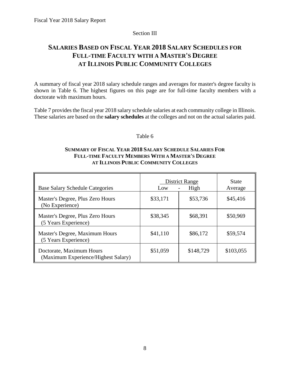## Section III

## <span id="page-11-0"></span>**SALARIES BASED ON FISCAL YEAR 2018 SALARY SCHEDULES FOR FULL-TIME FACULTY WITH A MASTER'S DEGREE AT ILLINOIS PUBLIC COMMUNITY COLLEGES**

A summary of fiscal year 2018 salary schedule ranges and averages for master's degree faculty is shown in Table 6. The highest figures on this page are for full-time faculty members with a doctorate with maximum hours.

Table 7 provides the fiscal year 2018 salary schedule salaries at each community college in Illinois. These salaries are based on the **salary schedules** at the colleges and not on the actual salaries paid.

## Table 6

## **SUMMARY OF FISCAL YEAR 2018 SALARY SCHEDULE SALARIES FOR FULL-TIME FACULTY MEMBERS WITH A MASTER'S DEGREE AT ILLINOIS PUBLIC COMMUNITY COLLEGES**

| <b>Base Salary Schedule Categories</b>                          | District Range<br>High<br>Low |           | <b>State</b><br>Average |
|-----------------------------------------------------------------|-------------------------------|-----------|-------------------------|
| Master's Degree, Plus Zero Hours<br>(No Experience)             | \$33,171                      | \$53,736  | \$45,416                |
| Master's Degree, Plus Zero Hours<br>(5 Years Experience)        | \$38,345                      | \$68,391  | \$50,969                |
| Master's Degree, Maximum Hours<br>(5 Years Experience)          | \$41,110                      | \$86,172  | \$59,574                |
| Doctorate, Maximum Hours<br>(Maximum Experience/Highest Salary) | \$51,059                      | \$148,729 | \$103,055               |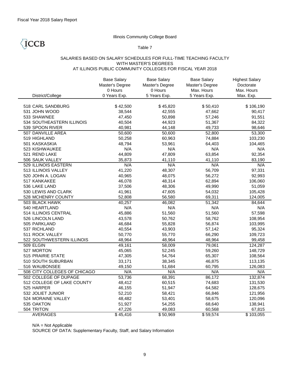**CCB** 

## Illinois Community College Board

### Table 7

## SALARIES BASED ON SALARY SCHEDULES FOR FULL-TIME TEACHING FACULTY WITH MASTER'S DEGREES AT ILLINOIS PUBLIC COMMUNITY COLLEGES FOR FISCAL YEAR 2018

|                              | <b>Base Salary</b><br>Master's Degree | <b>Base Salary</b><br>Master's Degree | <b>Base Salary</b><br>Master's Degree | <b>Highest Salary</b><br>Doctorate |
|------------------------------|---------------------------------------|---------------------------------------|---------------------------------------|------------------------------------|
|                              | 0 Hours                               | 0 Hours                               | Max. Hours                            | Max. Hours                         |
| District/College             | 0 Years Exp.                          | 5 Years Exp.                          | 5 Years Exp.                          | Max. Exp.                          |
|                              |                                       |                                       |                                       |                                    |
| 518 CARL SANDBURG            | \$42,500                              | \$45,820                              | \$50,410                              | \$106,190                          |
| 531 JOHN WOOD                | 38,544                                | 42,555                                | 47,662                                | 90,417                             |
| 533 SHAWNEE                  | 47,450                                | 50,898                                | 57,246                                | 91,551                             |
| 534 SOUTHEASTERN ILLINOIS    | 40,504                                | 44,923                                | 51,367                                | 84,322                             |
| 539 SPOON RIVER              | 40,981                                | 44,148                                | 49,733                                | 98,646                             |
| 507 DANVILLE AREA            | 50,600                                | 50,600                                | 52,800                                | 53,300                             |
| 519 HIGHLAND                 | 50,258                                | 60,963                                | 74,884                                | 103,230                            |
| 501 KASKASKIA                | 48,794                                | 53,961                                | 64,403                                | 104,465                            |
| 523 KISHWAUKEE               | N/A                                   | N/A                                   | N/A                                   | N/A                                |
| 521 REND LAKE                | 44,809                                | 47,809                                | 63,854                                | 92,354                             |
| 506 SAUK VALLEY              | 35,873                                | 41,110                                | 41,110                                | 83,190                             |
| 529 ILLINOIS EASTERN         | N/A                                   | N/A                                   | N/A                                   | N/A                                |
| 513 ILLINOIS VALLEY          | 41,220                                | 48,307                                | 56,709                                | 97,331                             |
| 520 JOHN A. LOGAN            | 40,965                                | 48,075                                | 56,272                                | 92,993                             |
| 517 KANKAKEE                 | 46,078                                | 48,314                                | 62,894                                | 106,060                            |
| 536 LAKE LAND                | 37,506                                | 48,306                                | 49,990                                | 51,059                             |
| 530 LEWIS AND CLARK          | 41,961                                | 47,605                                | 54,032                                | 105,428                            |
| 528 MCHENRY COUNTY           | 52,808                                | 56,580                                | 69,311                                | 124,005                            |
| 503 BLACK HAWK               | 40,257                                | 46,082                                | 51,342                                | 84,644                             |
| 540 HEARTLAND                | N/A                                   | N/A                                   | N/A                                   | N/A                                |
| 514 ILLINOIS CENTRAL         | 45,886                                | 51,560                                | 51,560                                | 57,598                             |
| 526 LINCOLN LAND             | 43,578                                | 50,762                                | 58,762                                | 108,954                            |
| 505 PARKLAND                 | 46,684                                | 55,828                                | 56,874                                | 103,995                            |
| 537 RICHLAND                 | 40,554                                | 43,903                                | 57,142                                | 95,324                             |
| 511 ROCK VALLEY              | 50,770                                | 55,770                                | 66,290                                | 109,723                            |
| 522 SOUTHWESTERN ILLINOIS    | 48,964                                | 48,964                                | 48,964                                | 99,458                             |
| 509 ELGIN                    | 49,161                                | 58,009                                | 79,061                                | 124,287                            |
| 527 MORTON                   | 45,065                                | 52,245                                | 59,260                                | 148,729                            |
| 515 PRAIRIE STATE            | 47,305                                | 54,764                                | 65,307                                | 108,564                            |
| 510 SOUTH SUBURBAN           | 33,171                                | 38,345                                | 46,875                                | 113,135                            |
| 516 WAUBONSEE                | 49,150                                | 51,684                                | 60,795                                | 126,083                            |
| 508 CITY COLLEGES OF CHICAGO | N/A                                   | N/A                                   | N/A                                   | N/A                                |
| 502 COLLEGE OF DUPAGE        | 53,736                                | 68,391                                | 86,172                                | 132,874                            |
| 512 COLLEGE OF LAKE COUNTY   | 48,412                                | 60,515                                | 74,683                                | 131,530                            |
| 525 HARPER                   | 46,155                                | 51,947                                | 64,582                                | 128,675                            |
| 532 JOLIET JUNIOR            | 52,210                                | 58,421                                | 66,846                                | 121,956                            |
| 524 MORAINE VALLEY           | 48,482                                | 53,401                                | 58,675                                | 120,096                            |
| 535 OAKTON                   | 51,927                                | 54,255                                | 68,640                                | 138,941                            |
| 504 TRITON                   | 47,226                                | 49,083                                | 60,568                                | 67,815                             |
| <b>AVERAGES</b>              | \$45,416                              | \$50,969                              | \$59,574                              | \$103,055                          |

N/A = Not Applicable

SOURCE OF DATA: Supplementary Faculty, Staff, and Salary Information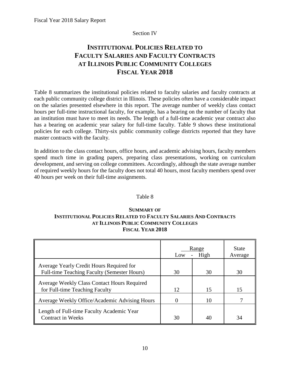## Section IV

## <span id="page-13-0"></span>**INSTITUTIONAL POLICIES RELATED TO FACULTY SALARIES AND FACULTY CONTRACTS AT ILLINOIS PUBLIC COMMUNITY COLLEGES FISCAL YEAR 2018**

Table 8 summarizes the institutional policies related to faculty salaries and faculty contracts at each public community college district in Illinois. These policies often have a considerable impact on the salaries presented elsewhere in this report. The average number of weekly class contact hours per full-time instructional faculty, for example, has a bearing on the number of faculty that an institution must have to meet its needs. The length of a full-time academic year contract also has a bearing on academic year salary for full-time faculty. Table 9 shows these institutional policies for each college. Thirty-six public community college districts reported that they have master contracts with the faculty.

In addition to the class contact hours, office hours, and academic advising hours, faculty members spend much time in grading papers, preparing class presentations, working on curriculum development, and serving on college committees. Accordingly, although the state average number of required weekly hours for the faculty does not total 40 hours, most faculty members spend over 40 hours per week on their full-time assignments.

## Table 8

## **SUMMARY OF INSTITUTIONAL POLICIES RELATED TO FACULTY SALARIES AND CONTRACTS AT ILLINOIS PUBLIC COMMUNITY COLLEGES FISCAL YEAR 2018**

|                                                                                         | Low | Range<br>High | <b>State</b><br>Average |
|-----------------------------------------------------------------------------------------|-----|---------------|-------------------------|
| Average Yearly Credit Hours Required for<br>Full-time Teaching Faculty (Semester Hours) | 30  | 30            | 30                      |
| Average Weekly Class Contact Hours Required<br>for Full-time Teaching Faculty           | 12  | 15            | 15                      |
| Average Weekly Office/Academic Advising Hours                                           | 0   | 10            |                         |
| Length of Full-time Faculty Academic Year<br><b>Contract in Weeks</b>                   | 30  | 40            | 34                      |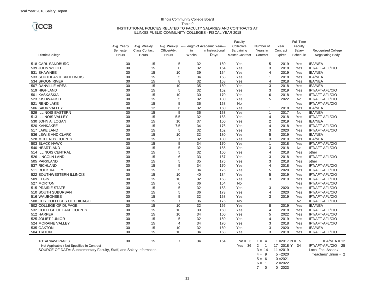

#### Illinois Community College Board Table 9 INSTITUTIONAL POLICIES RELATED TO FACULTY SALARIES AND CONTRACTS AT ILLINOIS PUBLIC COMMUNITY COLLEGES - FISCAL YEAR 2018

|                                                                      |             |                      |                |          |                                             | Faculty                |                |                    | Full-Time |                           |
|----------------------------------------------------------------------|-------------|----------------------|----------------|----------|---------------------------------------------|------------------------|----------------|--------------------|-----------|---------------------------|
|                                                                      | Avg. Yearly | Avg. Weekly          |                |          | Avg. Weekly ----Length of Academic Year---- | Collective             | Number of      | Year               | Faculty   |                           |
|                                                                      | Semester    | <b>Class Contact</b> | Office/Adv.    | in       | in Instructional                            | Bargaining             | Years in       | Contract           | Salary    | <b>Recognized College</b> |
| District/College                                                     | Hours       | Hours                | Hours          | Weeks    | Days                                        | <b>Master Contract</b> | Contract       | <b>Expires</b>     | Schedule  | Negotiating Body          |
|                                                                      |             |                      |                |          |                                             |                        |                |                    |           |                           |
| 518 CARL SANDBURG                                                    | 30          | 15                   | 5              | 32       | 160                                         | Yes                    | 5              | 2019               | Yes       | <b>IEA/NEA</b>            |
| 539 JOHN WOOD                                                        | 30          | 15                   | $\mathbf 0$    | 32       | 164                                         | Yes                    | 3              | 2018               | Yes       | IFT/AFT-AFL/CIO           |
| 531 SHAWNEE                                                          | 30          | 15                   | 10             | 39       | 154                                         | Yes                    | 4              | 2019               | Yes       | <b>IEA/NEA</b>            |
| 533 SOUTHEASTERN ILLINOIS                                            | 30          | 15                   | 5              | 34       | 158                                         | Yes                    | $\mathbf{1}$   | 2018               | Yes       | <b>IEA/NEA</b>            |
| 534 SPOON RIVER                                                      | 30          | 15                   | 8              | 32       | 158                                         | Yes                    | 4              | 2018               | Yes       | <b>IEA/NEA</b>            |
| 507 DANVILLE AREA                                                    | 30          | 15                   | 10             | 35       | 150                                         | Yes                    | 3              | 2018               | Yes       | <b>IEA/NEA</b>            |
| 519 HIGHLAND                                                         | 30          | 15                   | 5              | 32       | 152                                         | Yes                    | 3              | 2019               | Yes       | <b>IFT/AFT-AFL/CIO</b>    |
| 501 KASKASKIA                                                        | 30          | 15                   | 10             | 30       | 170                                         | Yes                    | 6              | 2018               | Yes       | IFT/AFT-AFL/CIO           |
| 523 KISHWAUKEE                                                       | 30          | 15                   | 5              | 32       | 180                                         | Yes                    | 5              | 2022               | No        | IFT/AFT-AFL/CIO           |
| 521 REND LAKE                                                        | 30          | 15                   | 5              | 36       | 168                                         | No                     |                |                    | Yes       | IFT/AFT-AFL/CIO           |
| 506 SAUK VALLEY                                                      | 30          | 12                   | 6              | 32       | 160                                         | Yes                    | $\mathbf 1$    | 2018               | Yes       | <b>IEA/NEA</b>            |
| 529 ILLINOIS EASTERN                                                 | 30          | 15                   | $\overline{5}$ | 36       | 153                                         | Yes                    | $\mathbf{1}$   | 2017               | No        | <b>IEA/NEA</b>            |
| 513 ILLINOIS VALLEY                                                  | 30          | 15                   | 5.5            | 32       | 168                                         | Yes                    | $\overline{4}$ | 2018               | Yes       | IFT/AFT-AFL/CIO           |
| 530 JOHN A. LOGAN                                                    | 30          | 15                   | 10             | 37       | 150                                         | Yes                    | $\overline{2}$ | 2019               | Yes       | <b>IEA/NEA</b>            |
| 520 KANKAKEE                                                         | 30          | 15                   | 7.5            | 34       | 176                                         | Yes                    | 4              | 2018               | Yes       | IFT/AFT-AFL/CIO           |
| 517 LAKE LAND                                                        | 30          | 15                   | 5              | 32       | 152                                         | Yes                    | 3              | 2020               | Yes       | IFT/AFT-AFL/CIO           |
| 536 LEWIS AND CLARK                                                  | 30          | 15                   | 10             | 32       | 180                                         | Yes                    | 5              | 2019               | Yes       | <b>IEA/NEA</b>            |
| 528 MCHENRY COUNTY                                                   | 30          |                      | $\overline{7}$ | 32       | 180                                         | Yes                    | 3              | 2019               | Yes       | <b>IEA/NEA</b>            |
| 503 BLACK HAWK                                                       | 30          | 15<br>15             | 5              | 34       | 170                                         | Yes                    | $\mathbf{1}$   | 2018               | Yes       | IFT/AFT-AFL/CIO           |
| 540 HEARTLAND                                                        | 30          | 15                   | 5              |          | 155                                         | Yes                    | 3              | 2018               | No        | IFT/AFT-AFL/CIO           |
| 514 ILLINOIS CENTRAL                                                 | 30          | 15                   | 5              | 32<br>32 | 160                                         | Yes                    | 4              | 2018               | Yes       | other                     |
|                                                                      |             |                      | 6              |          |                                             |                        |                |                    |           |                           |
| 526 LINCOLN LAND                                                     | 30          | 15                   | 5              | 33       | 167                                         | Yes                    | 3              | 2018               | Yes       | IFT/AFT-AFL/CIO           |
| 505 PARKLAND                                                         | 30          | 15                   | 5              | 35       | 175                                         | Yes                    | 3              | 2018               | Yes       | other                     |
| 537 RICHLAND                                                         | 30          | 15                   |                | 34       | 170                                         | Yes                    | $\overline{4}$ | 2018               | Yes       | IFT/AFT-AFL/CIO           |
| 511 ROCK VALLEY                                                      | 30          | 15                   | 5              | 34       | 176                                         | Yes                    | 5              | 2020               | Yes       | IFT/AFT-AFL/CIO           |
| 522 SOUTHWESTERN ILLINOIS                                            | 30          | 15                   | 10             | 40       | 184                                         | Yes                    | 5              | 2019               | Yes       | IFT/AFT-AFL/CIO           |
| 509 ELGIN                                                            | 30          | 15                   | 10             | 32       | 168                                         | Yes                    | 3              | 2019               | Yes       | IFT/AFT-AFL/CIO           |
| 527 MORTON                                                           | 30          | 15                   | 6              | 36       | 154                                         | No                     |                |                    | Yes       | IFT/AFT-AFL/CIO           |
| 515 PRAIRIE STATE                                                    | 30          | 15                   | 5              | 32       | 153                                         | Yes                    | 3              | 2020               | Yes       | IFT/AFT-AFL/CIO           |
| 510 SOUTH SUBURBAN                                                   | 30          | 15                   | 5              | 36       | 173                                         | Yes                    | 4              | 2020               | Yes       | IFT/AFT-AFL/CIO           |
| 516 WAUBONSEE                                                        | 30          | 15                   | 5              | 32       | 158                                         | Yes                    | 3              | 2019               | Yes       | IFT/AFT-AFL/CIO           |
| 508 CITY COLLEGES OF CHICAGO                                         | 30          | 15                   | 7              | 36       | 175                                         | <b>No</b>              |                |                    | No        | IFT/AFT-AFL/CIO           |
| 502 COLLEGE OF DUPAGE                                                | 30          | 15                   | 10             | 32       | 166                                         | Yes                    | 8              | 2019               | Yes       | <b>IEA/NEA</b>            |
| 532 COLLEGE OF LAKE COUNTY                                           | 30          | 15                   | 10             | 30       | 160                                         | Yes                    | $\overline{4}$ | 2018               | Yes       | IFT/AFT-AFL/CIO           |
| 512 HARPER                                                           | 30          | 15                   | 10             | 34       | 160                                         | Yes                    | 5              | 2022               | Yes       | <b>IFT/AFT-AFL/CIO</b>    |
| 525 JOLIET JUNIOR                                                    | 30          | 15                   | 5              | 32       | 150                                         | Yes                    | $\overline{4}$ | 2019               | Yes       | IFT/AFT-AFL/CIO           |
| 524 MORAINE VALLEY                                                   | 30          | 15                   | $\overline{4}$ | 34       | 170                                         | Yes                    | 3              | 2018               | Yes       | IFT/AFT-AFL/CIO           |
| 535 OAKTON                                                           | 30          | 15                   | 10             | 32       | 160                                         | Yes                    | 3              | 2020               | Yes       | <b>IEA/NEA</b>            |
| 504 TRITON                                                           | 30          | 15                   | 10             | 34       | 158                                         | Yes                    | 3              | 2018               | Yes       | IFT/AFT-AFL/CIO           |
|                                                                      |             |                      |                |          |                                             |                        |                |                    |           |                           |
| TOTALS/AVERAGES                                                      | 30          | 15                   | $\overline{7}$ | 34       | 164                                         | $No = 3$               | $1 = 4$        | $1 = 2017$ N = 5   |           | $IEAVNEA = 12$            |
| - Not Applicable / Not Specified in Contract                         |             |                      |                |          |                                             | $Yes = 36$             | $2 = 1$        | $17 = 2018$ Y = 34 |           | $IFT/AFT-AFL/ClO = 25$    |
| SOURCE OF DATA: Supplementary Faculty, Staff, and Salary Information |             |                      |                |          |                                             |                        | $3 = 14$       | $11 = 2019$        |           | Local Fac. Assoc./        |
|                                                                      |             |                      |                |          |                                             |                        | $4 = 9$        | $5 = 2020$         |           | Teachers' Union $= 2$     |
|                                                                      |             |                      |                |          |                                             |                        | $5 = 6$        | $0 = 2021$         |           |                           |
|                                                                      |             |                      |                |          |                                             |                        | $6 = 1$        | $2 = 2022$         |           |                           |

 $7 = 0$  0 = 2023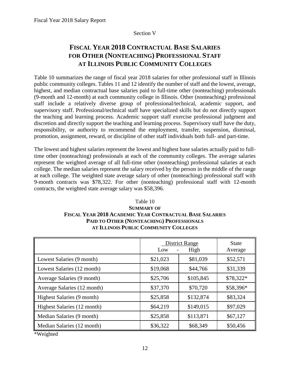## Section V

## <span id="page-15-0"></span>**FISCAL YEAR 2018 CONTRACTUAL BASE SALARIES FOR OTHER (NONTEACHING) PROFESSIONAL STAFF AT ILLINOIS PUBLIC COMMUNITY COLLEGES**

Table 10 summarizes the range of fiscal year 2018 salaries for other professional staff in Illinois public community colleges. Tables 11 and 12 identify the number of staff and the lowest, average, highest, and median contractual base salaries paid to full-time other (nonteaching) professionals (9-month and 12-month) at each community college in Illinois. Other (nonteaching) professional staff include a relatively diverse group of professional/technical, academic support, and supervisory staff. Professional/technical staff have specialized skills but do not directly support the teaching and learning process. Academic support staff exercise professional judgment and discretion and directly support the teaching and learning process. Supervisory staff have the duty, responsibility, or authority to recommend the employment, transfer, suspension, dismissal, promotion, assignment, reward, or discipline of other staff individuals both full- and part-time.

The lowest and highest salaries represent the lowest and highest base salaries actually paid to fulltime other (nonteaching) professionals at each of the community colleges. The average salaries represent the weighted average of all full-time other (nonteaching) professional salaries at each college. The median salaries represent the salary received by the person in the middle of the range at each college. The weighted state average salary of other (nonteaching) professional staff with 9-month contracts was \$78,322. For other (nonteaching) professional staff with 12-month contracts, the weighted state average salary was \$58,396.

## **FISCAL YEAR 2018 ACADEMIC YEAR CONTRACTUAL BASE SALARIES** Table 10 **SUMMARY OF PAID TO OTHER (NONTEACHING) PROFESSIONALS AT ILLINOIS PUBLIC COMMUNITY COLLEGES**

|                             | Low      | <b>District Range</b><br>High | <b>State</b><br>Average |
|-----------------------------|----------|-------------------------------|-------------------------|
| Lowest Salaries (9 month)   | \$21,023 | \$81,039                      | \$52,571                |
| Lowest Salaries (12 month)  | \$19,068 | \$44,766                      | \$31,339                |
| Average Salaries (9 month)  | \$25,706 | \$105,845                     | \$78,322*               |
| Average Salaries (12 month) | \$37,370 | \$70,720                      | \$58,396*               |
| Highest Salaries (9 month)  | \$25,858 | \$132,874                     | \$83,324                |
| Highest Salaries (12 month) | \$64,219 | \$149,015                     | \$97,029                |
| Median Salaries (9 month)   | \$25,858 | \$113,871                     | \$67,127                |
| Median Salaries (12 month)  | \$36,322 | \$68,349                      | \$50,456                |

\*Weighted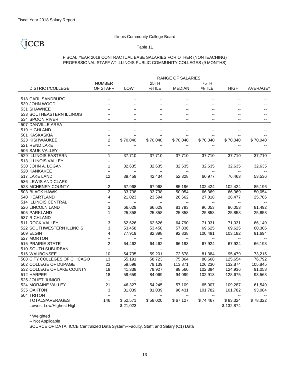**CCB** 

## Illinois Community College Board

### Table 11

## FISCAL YEAR 2018 CONTRACTUAL BASE SALARIES FOR OTHER (NONTEACHING) PROFESSIONAL STAFF AT ILLINOIS PUBLIC COMMUNITY COLLEGES (9 MONTHS)

|                              | RANGE OF SALARIES        |                          |                          |                          |                          |                          |                  |  |  |  |  |  |
|------------------------------|--------------------------|--------------------------|--------------------------|--------------------------|--------------------------|--------------------------|------------------|--|--|--|--|--|
|                              | <b>NUMBER</b>            |                          | 25TH                     |                          | 75TH                     |                          |                  |  |  |  |  |  |
| <b>DISTRICT/COLLEGE</b>      | OF STAFF                 | LOW                      | %TILE                    | <b>MEDIAN</b>            | %TILE                    | <b>HIGH</b>              | AVERAGE*         |  |  |  |  |  |
|                              |                          |                          |                          |                          |                          |                          |                  |  |  |  |  |  |
| 518 CARL SANDBURG            |                          |                          |                          |                          |                          |                          |                  |  |  |  |  |  |
| 539 JOHN WOOD                |                          |                          |                          |                          |                          |                          |                  |  |  |  |  |  |
| 531 SHAWNEE                  |                          |                          |                          |                          |                          |                          |                  |  |  |  |  |  |
| 533 SOUTHEASTERN ILLINOIS    |                          |                          |                          |                          |                          |                          |                  |  |  |  |  |  |
| 534 SPOON RIVER              | $-$                      |                          | $- -$                    | $-$                      | $-$                      | $\overline{a}$           |                  |  |  |  |  |  |
| 507 DANVILLE AREA            |                          |                          | $-$                      | $-$                      | $\overline{a}$           | $\overline{a}$           |                  |  |  |  |  |  |
| 519 HIGHLAND                 |                          |                          |                          |                          |                          | $\overline{\phantom{a}}$ |                  |  |  |  |  |  |
| 501 KASKASKIA                | --                       |                          |                          |                          |                          | $\overline{a}$           |                  |  |  |  |  |  |
| 523 KISHWAUKEE               | 2                        | \$70,040                 | \$70,040                 | \$70,040                 | \$70,040                 | \$70,040                 | \$70,040         |  |  |  |  |  |
| 521 REND LAKE                | Ξ.                       |                          |                          |                          |                          |                          |                  |  |  |  |  |  |
| 506 SAUK VALLEY              | $\overline{\phantom{a}}$ |                          |                          |                          |                          | --                       |                  |  |  |  |  |  |
| 529 ILLINOIS EASTERN         | $\mathbf{1}$             | 37,710                   | 37,710                   | 37,710                   | 37,710                   | 37,710                   | 37,710           |  |  |  |  |  |
| 513 ILLINOIS VALLEY          | Ξ.                       |                          |                          |                          |                          |                          |                  |  |  |  |  |  |
| 530 JOHN A. LOGAN            | 1                        | 32,635                   | 32,635                   | 32,635                   | 32,635                   | 32,635                   | 32,635           |  |  |  |  |  |
| 520 KANKAKEE                 | --                       |                          |                          |                          |                          | --                       |                  |  |  |  |  |  |
| 517 LAKE LAND                | 12                       | 39,459                   | 42,434                   | 52,328                   | 60,977                   | 76,463                   | 53,536           |  |  |  |  |  |
| 536 LEWIS AND CLARK          | --                       | $\overline{\phantom{a}}$ |                          |                          |                          | --                       |                  |  |  |  |  |  |
| 528 MCHENRY COUNTY           | 2                        | 67,968                   | 67,968                   | 85,196                   | 102,424                  | 102,424                  | 85,196           |  |  |  |  |  |
| 503 BLACK HAWK               | $\overline{2}$           | 33,738                   | 33,738                   | 50,054                   | 66,369                   | 66,369                   | 50,054           |  |  |  |  |  |
| 540 HEARTLAND                | 4                        | 21,023                   | 23,594                   | 26,662                   | 27,818                   | 28,477                   | 25,706           |  |  |  |  |  |
| 514 ILLINOIS CENTRAL         | --                       |                          | $\overline{\phantom{a}}$ |                          |                          |                          |                  |  |  |  |  |  |
| 526 LINCOLN LAND             | 3                        | 66,629                   | 66,629                   | 81,793                   | 96,053                   | 96,053                   | 81,492           |  |  |  |  |  |
| 505 PARKLAND                 | 1                        | 25,858                   | 25,858                   | 25,858                   | 25,858                   | 25,858                   | 25,858           |  |  |  |  |  |
| 537 RICHLAND                 | --                       | $\overline{\phantom{a}}$ | $\overline{\phantom{a}}$ |                          | $\ddotsc$                |                          |                  |  |  |  |  |  |
| 511 ROCK VALLEY              | 3                        | 62,626                   | 62,626                   | 64,790                   | 71,031                   | 71,031                   | 66,149           |  |  |  |  |  |
| 522 SOUTHWESTERN ILLINOIS    | 3                        | 53,458                   | 53,458                   | 57,836                   | 69,625                   | 69,625                   | 60,306           |  |  |  |  |  |
| 509 ELGIN                    | 4                        | 77,919                   | 82,898                   | 92,838                   | 100,491                  | 103,182                  | 91,694           |  |  |  |  |  |
| 527 MORTON                   | --                       | $\overline{\phantom{a}}$ | $\overline{\phantom{a}}$ | $\overline{\phantom{a}}$ | $\overline{\phantom{a}}$ | $\overline{\phantom{a}}$ |                  |  |  |  |  |  |
| 515 PRAIRIE STATE            | $\overline{c}$           | 64,462                   | 64,462                   | 66,193                   | 67,924                   | 67,924                   | 66,193           |  |  |  |  |  |
| 510 SOUTH SUBURBAN           | --                       | $\overline{\phantom{a}}$ | $\overline{\phantom{a}}$ | --                       | $\overline{\phantom{a}}$ | $\overline{\phantom{a}}$ |                  |  |  |  |  |  |
| 516 WAUBONSEE                | 10                       | 54,735                   | 59,201                   | 72,678                   | 81,384                   | 95,479                   | 73,215           |  |  |  |  |  |
| 508 CITY COLLEGES OF CHICAGO | $\overline{13}$          | 55,191                   | 58,723                   | 75,864                   | 80,668                   | 125,654                  | 76,792           |  |  |  |  |  |
| 502 COLLEGE OF DUPAGE        | $\overline{23}$          | 59,598                   | 79,139                   | 113,871                  | 126,230                  | 132,874                  | 105,845          |  |  |  |  |  |
| 532 COLLEGE OF LAKE COUNTY   | 18                       | 41,338                   | 79,927                   | 88,560                   | 102,394                  | 124,936                  | 91,058           |  |  |  |  |  |
| 512 HARPER                   | 18                       | 59,659                   | 84,069                   | 94,099                   | 102,913                  | 128,675                  | 93,568           |  |  |  |  |  |
| 525 JOLIET JUNIOR            | $\overline{a}$           | $\overline{\phantom{a}}$ | $\overline{\phantom{a}}$ | $\overline{\phantom{a}}$ | $\overline{\phantom{a}}$ | $\overline{\phantom{a}}$ | $\overline{a}$   |  |  |  |  |  |
| 524 MORAINE VALLEY           | 21                       | 46,327                   | 54,245                   | 57,109                   | 65,007                   | 109,287                  | 61,549           |  |  |  |  |  |
| 535 OAKTON                   | 3                        | 81,039                   | 81,039                   | 96,431                   | 101,782                  | 101,782                  | 93,084           |  |  |  |  |  |
| 504 TRITON                   | Ξ.                       |                          |                          |                          |                          |                          |                  |  |  |  |  |  |
| <b>TOTALS/AVERAGES</b>       | 146                      | \$52,571                 | \$58,020                 | \$67,127                 | \$74,467                 | \$83,324                 | $\sqrt{$}78,322$ |  |  |  |  |  |
| Lowest Low/Highest High      |                          | \$21,023                 |                          |                          |                          | \$132,874                |                  |  |  |  |  |  |

\* Weighted

-- Not Applicable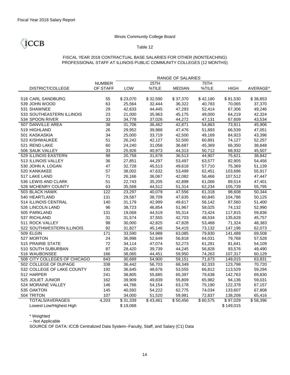**CCB** 

## Illinois Community College Board

### Table 12

## FISCAL YEAR 2018 CONTRACTUAL BASE SALARIES FOR OTHER (NONTEACHING) PROFESSIONAL STAFF AT ILLINOIS PUBLIC COMMUNITY COLLEGES (12 MONTHS)

|                              |                 | RANGE OF SALARIES |                  |               |          |             |                      |  |  |  |  |  |  |
|------------------------------|-----------------|-------------------|------------------|---------------|----------|-------------|----------------------|--|--|--|--|--|--|
|                              | <b>NUMBER</b>   |                   | 25TH             |               | 75TH     |             |                      |  |  |  |  |  |  |
| <b>DISTRICT/COLLEGE</b>      | OF STAFF        | LOW               | %TILE            | <b>MEDIAN</b> | %TILE    | <b>HIGH</b> | AVERAGE*             |  |  |  |  |  |  |
|                              |                 |                   |                  |               |          |             |                      |  |  |  |  |  |  |
| 518 CARL SANDBURG            | 55              | \$23,070          | \$32,590         | \$37,370      | \$42,180 | \$81,530    | \$38,853             |  |  |  |  |  |  |
| 539 JOHN WOOD                | 63              | 25,564            | 32,444           | 36,322        | 40,783   | 70,065      | 37,370               |  |  |  |  |  |  |
| 531 SHAWNEE                  | 29              | 42,633            | 44,445           | 47,293        | 52,414   | 67,306      | 49,246               |  |  |  |  |  |  |
| 533 SOUTHEASTERN ILLINOIS    | 23              | 21,000            | 35,963           | 45,175        | 49,000   | 64,219      | 42,324               |  |  |  |  |  |  |
| 534 SPOON RIVER              | 33              | 34,778            | 37,026           | 44,272        | 47,131   | 67,609      | 43,534               |  |  |  |  |  |  |
| 507 DANVILLE AREA            | $\overline{38}$ | 31,706            | 36,462           | 42,871        | 54,863   | 73,911      | 45,906               |  |  |  |  |  |  |
| 519 HIGHLAND                 | 26              | 29,952            | 39,988           | 47,476        | 51,893   | 66,539      | 47,051               |  |  |  |  |  |  |
| 501 KASKASKIA                | 34              | 25,000            | 33,719           | 42,500        | 49,169   | 84,923      | 43,396               |  |  |  |  |  |  |
| 523 KISHWAUKEE               | 51              | 26,242            | 42,127           | 52,500        | 60,891   | 74,127      | 52,257               |  |  |  |  |  |  |
| 521 REND LAKE                | 60              | 24,240            | 31,058           | 36,687        | 45,369   | 66,350      | 38,848               |  |  |  |  |  |  |
| 506 SAUK VALLEY              | 33              | 25,926            | 40,973           | 44,313        | 50,712   | 68,932      | 45,507               |  |  |  |  |  |  |
| 529 ILLINOIS EASTERN         | 98              | 20,758            | 31,678           | 36,513        | 44,907   | 75,621      | 38,842               |  |  |  |  |  |  |
| 513 ILLINOIS VALLEY          | 36              | 27,851            | 44,297           | 53,497        | 63,577   | 82,905      | 54,456               |  |  |  |  |  |  |
| 530 JOHN A. LOGAN            | 47              | 32,728            | 45,513           | 49,618        | 57,710   | 75,369      | 51,139               |  |  |  |  |  |  |
| 520 KANKAKEE                 | 57              | 38,002            | 47,632           | 53,499        | 62,451   | 103,696     | 55,917               |  |  |  |  |  |  |
| 517 LAKE LAND                | 71              | 26,166            | 36,067           | 42,082        | 56,466   | 107,512     | 47,447               |  |  |  |  |  |  |
| 536 LEWIS AND CLARK          | 51              | 22,743            | 35,205           | 42,898        | 61,066   | 89,514      | 47,401               |  |  |  |  |  |  |
| 528 MCHENRY COUNTY           | 63              | 35,568            | 44,512           | 51,314        | 62,234   | 105,739     | 55,795               |  |  |  |  |  |  |
| 503 BLACK HAWK               | 122             | 23,297            | 40,079           | 47,556        | 61,318   | 98,608      | 50,344               |  |  |  |  |  |  |
| 540 HEARTLAND                | 131             | 29,587            | 38,709           | 47,635        | 60,845   | 104,786     | 50,125               |  |  |  |  |  |  |
| 514 ILLINOIS CENTRAL         | 140             | 31,179            | 42,999           | 49,617        | 56,142   | 87,560      | 51,400               |  |  |  |  |  |  |
| 526 LINCOLN LAND             | 96              | 38,723            | 46,854           | 51,967        | 58,025   | 74,132      | 52,990               |  |  |  |  |  |  |
| 505 PARKLAND                 | 131             | 19,068            | 44,519           | 55,314        | 73,424   | 117,815     | 59,836               |  |  |  |  |  |  |
| 537 RICHLAND                 | 31              | 31,574            | 37,555           | 42,703        | 48,534   | 135,628     | 45,757               |  |  |  |  |  |  |
| 511 ROCK VALLEY              | 98              | 30,000            | 42,825           | 47,828        | 53,468   | 71,324      | 48,383               |  |  |  |  |  |  |
| 522 SOUTHWESTERN ILLINOIS    | 92              | 31,827            | 45,146           | 54,415        | 73,132   | 147,196     | 62,073               |  |  |  |  |  |  |
| 509 ELGIN                    | 171             | 33,590            | 54,988           | 63,085        | 79,830   | 141,488     | 69,508               |  |  |  |  |  |  |
| 527 MORTON                   | 24              | 36,998            | 52,649           | 56,818        | 64,031   | 79,768      | 57,528               |  |  |  |  |  |  |
| 515 PRAIRIE STATE            | 72              | 34,114            | 47,074           | 52,273        | 61,281   | 81,641      | 54,109               |  |  |  |  |  |  |
| 510 SOUTH SUBURBAN           | 87              | 28,420            | 39,739           | 44,245        | 56,828   | 93,576      | 49,490               |  |  |  |  |  |  |
| 516 WAUBONSEE                | 166             | 38,065            | 44,451           | 59,950        | 74,263   | 107,317     | 60,129               |  |  |  |  |  |  |
| 508 CITY COLLEGES OF CHICAGO | 643             | 30,689            | 54,900           | 59,151        | 71,673   | 149,015     | 63,831               |  |  |  |  |  |  |
| 502 COLLEGE OF DUPAGE        | 338             | 36,442            | 56,703           | 68,349        | 82,333   | 123,798     | 70,720               |  |  |  |  |  |  |
| 532 COLLEGE OF LAKE COUNTY   | 192             | 36,645            | 48,676           | 53,555        | 66,812   | 113,529     | 59,294               |  |  |  |  |  |  |
| 512 HARPER                   | 241             | 38,805            | 55,685           | 65,397        | 79,638   | 142,763     | 69,830               |  |  |  |  |  |  |
| 525 JOLIET JUNIOR            | 162             | 39,909            | 49,839           | 55,809        | 65,982   | 94,136      | 59,031               |  |  |  |  |  |  |
| 524 MORAINE VALLEY           | 146             | 44,766            | 54,154           | 63,178        | 75,190   | 122,378     | 67,157               |  |  |  |  |  |  |
| 535 OAKTON                   | 145             | 40,592            | 54,222           | 62,775        | 74,034   | 133,607     | 67,808               |  |  |  |  |  |  |
| 504 TRITON                   | 107             | 34,000            | 51,520           | 59,981        | 72,837   | 138,208     | 65,416               |  |  |  |  |  |  |
| <b>TOTALS/AVERAGES</b>       | 4,203           | \$31,339          | $\sqrt{$43,461}$ | \$50,456      | \$60,575 | \$97,029    | $\overline{$}58,396$ |  |  |  |  |  |  |
| Lowest Low/Highest High      |                 | \$19,068          |                  |               |          | \$149,015   |                      |  |  |  |  |  |  |

\* Weighted

-- Not Applicable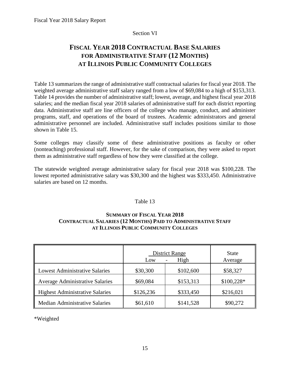## Section VI

## <span id="page-18-0"></span>**FISCAL YEAR 2018 CONTRACTUAL BASE SALARIES FOR ADMINISTRATIVE STAFF (12 MONTHS) AT ILLINOIS PUBLIC COMMUNITY COLLEGES**

Table 13 summarizes the range of administrative staff contractual salaries for fiscal year 2018. The weighted average administrative staff salary ranged from a low of \$69,084 to a high of \$153,313. Table 14 provides the number of administrative staff; lowest, average, and highest fiscal year 2018 salaries; and the median fiscal year 2018 salaries of administrative staff for each district reporting data. Administrative staff are line officers of the college who manage, conduct, and administer programs, staff, and operations of the board of trustees. Academic administrators and general administrative personnel are included. Administrative staff includes positions similar to those shown in Table 15.

Some colleges may classify some of these administrative positions as faculty or other (nonteaching) professional staff. However, for the sake of comparison, they were asked to report them as administrative staff regardless of how they were classified at the college.

The statewide weighted average administrative salary for fiscal year 2018 was \$100,228. The lowest reported administrative salary was \$30,300 and the highest was \$333,450. Administrative salaries are based on 12 months.

## Table 13

## **SUMMARY OF FISCAL YEAR 2018 CONTRACTUAL SALARIES (12 MONTHS) PAID TO ADMINISTRATIVE STAFF AT ILLINOIS PUBLIC COMMUNITY COLLEGES**

|                                        | Low       | <b>District Range</b><br>High | <b>State</b><br>Average |
|----------------------------------------|-----------|-------------------------------|-------------------------|
| <b>Lowest Administrative Salaries</b>  | \$30,300  | \$102,600                     | \$58,327                |
| <b>Average Administrative Salaries</b> | \$69,084  | \$153,313                     | $$100,228*$             |
| <b>Highest Administrative Salaries</b> | \$126,236 | \$333,450                     | \$216,021               |
| <b>Median Administrative Salaries</b>  | \$61,610  | \$141,528                     | \$90,272                |

\*Weighted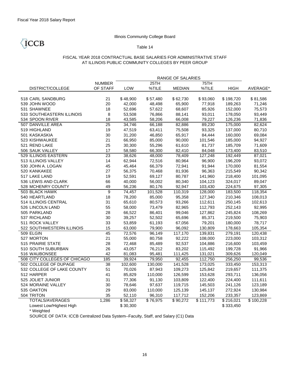ICCB

## Illinois Community College Board

### Table 14

## FISCAL YEAR 2018 CONTRACTUAL BASE SALARIES FOR ADMINISTRATIVE STAFF AT ILLINOIS PUBLIC COMMUNITY COLLEGES BY PEER GROUP

|                              |               | RANGE OF SALARIES |          |               |           |             |                       |  |  |  |  |  |  |
|------------------------------|---------------|-------------------|----------|---------------|-----------|-------------|-----------------------|--|--|--|--|--|--|
|                              | <b>NUMBER</b> |                   | 25TH     |               | 75TH      |             |                       |  |  |  |  |  |  |
| <b>DISTRICT/COLLEGE</b>      | OF STAFF      | LOW               | %TILE    | <b>MEDIAN</b> | %TILE     | <b>HIGH</b> | AVERAGE*              |  |  |  |  |  |  |
|                              |               |                   |          |               |           |             |                       |  |  |  |  |  |  |
| 518 CARL SANDBURG            | 21            | \$48,900          | \$57,480 | \$62,730      | \$93,060  | \$198,720   | \$81,586              |  |  |  |  |  |  |
| 539 JOHN WOOD                | 20            | 42,000            | 48,498   | 65,900        | 77,918    | 189,263     | 71,246                |  |  |  |  |  |  |
| 531 SHAWNEE                  | 18            | 52,696            | 57,622   | 68,607        | 85,926    | 152,000     | 75,573                |  |  |  |  |  |  |
| 533 SOUTHEASTERN ILLINOIS    | 8             | 53,508            | 76,866   | 88,141        | 93,011    | 178,050     | 93,449                |  |  |  |  |  |  |
| 534 SPOON RIVER              | 18            | 43,585            | 58,206   | 66,008        | 79,227    | 126,236     | 71,836                |  |  |  |  |  |  |
| 507 DANVILLE AREA            | 25            | 34,746            | 66,188   | 82,886        | 89,230    | 175,000     | 82,624                |  |  |  |  |  |  |
| 519 HIGHLAND                 | 19            | 47,519            | 63,411   | 75,508        | 93,325    | 137,000     | 80,710                |  |  |  |  |  |  |
| 501 KASKASKIA                | 30            | 31,200            | 46,850   | 65,917        | 84,444    | 160,000     | 69,084                |  |  |  |  |  |  |
| 523 KISHWAUKEE               | 21            | 66,950            | 85,000   | 90,000        | 101,546   | 185,000     | 94,927                |  |  |  |  |  |  |
| 521 REND LAKE                | 25            | 30,300            | 55,296   | 61,610        | 81,737    | 185,709     | 71,609                |  |  |  |  |  |  |
| 506 SAUK VALLEY              | 17            | 58,580            | 66,300   | 82,410        | 84,048    | 173,400     | 83,510                |  |  |  |  |  |  |
| 529 ILLINOIS EASTERN         | 23            | 38,626            | 48,000   | 78,409        | 127,248   | 192,449     | 87,021                |  |  |  |  |  |  |
| 513 ILLINOIS VALLEY          | 14            | 62,944            | 72,516   | 80,964        | 96,900    | 196,209     | 93,072                |  |  |  |  |  |  |
| 530 JOHN A. LOGAN            | 45            | 45,464            | 66,379   | 72,941        | 91,944    | 170,000     | 81,554                |  |  |  |  |  |  |
| 520 KANKAKEE                 | 27            | 56,375            | 70,468   | 81,936        | 96,363    | 215,549     | 90,342                |  |  |  |  |  |  |
| 517 LAKE LAND                | 19            | 52,591            | 69,127   | 80,787        | 141,960   | 218,400     | 101,095               |  |  |  |  |  |  |
| 536 LEWIS AND CLARK          | 66            | 40,000            | 56,002   | 80,340        | 104,123   | 324,017     | 89,047                |  |  |  |  |  |  |
| 528 MCHENRY COUNTY           | 49            | 56,236            | 80,176   | 92,947        | 103,430   | 224,675     | 97,305                |  |  |  |  |  |  |
| 503 BLACK HAWK               | 9             | 74,457            | 101,528  | 110,319       | 128,000   | 183,500     | 118,354               |  |  |  |  |  |  |
| 540 HEARTLAND                | 18            | 78,200            | 85,000   | 95,358        | 127,340   | 210,346     | 108,013               |  |  |  |  |  |  |
| 514 ILLINOIS CENTRAL         | 31            | 65,610            | 80,573   | 93,266        | 112,611   | 250,145     | 102,613               |  |  |  |  |  |  |
| 526 LINCOLN LAND             | 55            | 58,000            | 73,479   | 82,965        | 112,793   | 252,143     | 92,995                |  |  |  |  |  |  |
| 505 PARKLAND                 | 28            | 66,522            | 86,401   | 99,046        | 127,862   | 245,824     | 108,269               |  |  |  |  |  |  |
| 537 RICHLAND                 | 30            | 39,257            | 52,502   | 65,696        | 85,371    | 219,500     | 75,903                |  |  |  |  |  |  |
| 511 ROCK VALLEY              | 33            | 53,859            | 61,193   | 67,056        | 79,201    | 180,000     | 78,717                |  |  |  |  |  |  |
| 522 SOUTHWESTERN ILLINOIS    | 15            | 63,000            | 79,900   | 96,092        | 130,809   | 178,663     | 105,354               |  |  |  |  |  |  |
| 509 ELGIN                    | 45            | 72,576            | 96,149   | 117,170       | 139,831   | 279,191     | 120,438               |  |  |  |  |  |  |
| 527 MORTON                   | 21            | 55,000            | 80,758   | 92,222        | 108,000   | 223,000     | 103,312               |  |  |  |  |  |  |
| 515 PRAIRIE STATE            | 28            | 72,468            | 85,489   | 92,537        | 104,886   | 216,600     | 103,459               |  |  |  |  |  |  |
| 510 SOUTH SUBURBAN           | 26            | 43,057            | 76,212   | 83,202        | 115,492   | 199,728     | 91,966                |  |  |  |  |  |  |
| 516 WAUBONSEE                | 42            | 81,083            | 95,481   | 111,425       | 131,021   | 309,626     | 120,049               |  |  |  |  |  |  |
| 508 CITY COLLEGES OF CHICAGO | 185           | 39,924            | 79,950   | 92,455        | 112,750   | 256,250     | 99,536                |  |  |  |  |  |  |
| 502 COLLEGE OF DUPAGE        | 38            | 102,600           | 130,000  | 141,528       | 173,025   | 333,450     | 153,313               |  |  |  |  |  |  |
| 532 COLLEGE OF LAKE COUNTY   | 51            | 70,026            | 87,943   | 109,273       | 125,842   | 219,657     | 111,375               |  |  |  |  |  |  |
| 512 HARPER                   | 41            | 85,829            | 110,000  | 126,599       | 153,628   | 293,711     | 136,056               |  |  |  |  |  |  |
| 525 JOLIET JUNIOR            | 31            | 77,306            | 91,130   | 103,809       | 122,400   | 224,400     | 111,611               |  |  |  |  |  |  |
| 524 MORAINE VALLEY           | 30            | 78,646            | 97,637   | 119,715       | 145,503   | 241,126     | 123,189               |  |  |  |  |  |  |
| 535 OAKTON                   | 29            | 83,000            | 110,000  | 125,139       | 145,137   | 272,924     | 130,984               |  |  |  |  |  |  |
| 504 TRITON                   | 35            | 52,110            | 96,310   | 117,712       | 152,206   | 233,357     | 123,869               |  |  |  |  |  |  |
| <b>TOTALS/AVERAGES</b>       | 1,286         | \$58,327          | \$76,975 | \$90,272      | \$111,773 | \$216,021   | $\overline{$}300,228$ |  |  |  |  |  |  |
| Lowest Low/Highest High      |               | \$30,300          |          |               |           | \$333,450   |                       |  |  |  |  |  |  |

\* Weighted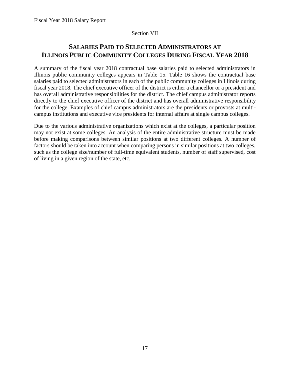## Section VII

## <span id="page-20-0"></span>**SALARIES PAID TO SELECTED ADMINISTRATORS AT ILLINOIS PUBLIC COMMUNITY COLLEGES DURING FISCAL YEAR 2018**

A summary of the fiscal year 2018 contractual base salaries paid to selected administrators in Illinois public community colleges appears in Table 15. Table 16 shows the contractual base salaries paid to selected administrators in each of the public community colleges in Illinois during fiscal year 2018. The chief executive officer of the district is either a chancellor or a president and has overall administrative responsibilities for the district. The chief campus administrator reports directly to the chief executive officer of the district and has overall administrative responsibility for the college. Examples of chief campus administrators are the presidents or provosts at multicampus institutions and executive vice presidents for internal affairs at single campus colleges.

Due to the various administrative organizations which exist at the colleges, a particular position may not exist at some colleges. An analysis of the entire administrative structure must be made before making comparisons between similar positions at two different colleges. A number of factors should be taken into account when comparing persons in similar positions at two colleges, such as the college size/number of full-time equivalent students, number of staff supervised, cost of living in a given region of the state, etc.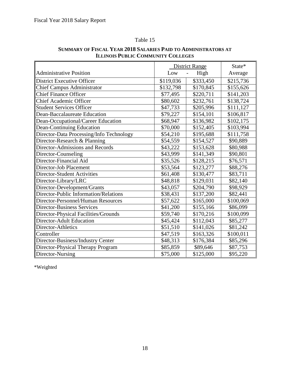## Table 15

|                                          |           | <b>District Range</b> | State*    |
|------------------------------------------|-----------|-----------------------|-----------|
| <b>Administrative Position</b>           | Low       | High                  | Average   |
| <b>District Executive Officer</b>        | \$119,036 | \$333,450             | \$215,736 |
| <b>Chief Campus Administrator</b>        | \$132,798 | \$170,845             | \$155,626 |
| <b>Chief Finance Officer</b>             | \$77,495  | \$220,711             | \$141,203 |
| <b>Chief Academic Officer</b>            | \$80,602  | \$232,761             | \$138,724 |
| <b>Student Services Officer</b>          | \$47,733  | \$205,996             | \$111,127 |
| Dean-Baccalaureate Education             | \$79,227  | \$154,101             | \$106,817 |
| Dean-Occupational/Career Education       | \$68,947  | \$136,982             | \$102,175 |
| Dean-Continuing Education                | \$70,000  | \$152,405             | \$103,994 |
| Director-Data Processing/Info Technology | \$54,210  | \$195,688             | \$111,758 |
| Director-Research & Planning             | \$54,559  | \$154,527             | \$90,889  |
| Director-Admissions and Records          | \$43,222  | \$153,628             | \$80,988  |
| Director-Counseling                      | \$43,999  | \$141,349             | \$90,801  |
| Director-Financial Aid                   | \$35,526  | \$128,215             | \$76,571  |
| Director-Job Placement                   | \$53,564  | \$123,277             | \$88,276  |
| <b>Director-Student Activities</b>       | \$61,408  | \$130,477             | \$83,711  |
| Director-Library/LRC                     | \$48,818  | \$129,031             | \$82,140  |
| Director-Development/Grants              | \$43,057  | \$204,790             | \$98,929  |
| Director-Public Information/Relations    | \$38,431  | \$137,200             | \$82,441  |
| Director-Personnel/Human Resources       | \$57,622  | \$165,000             | \$100,069 |
| <b>Director-Business Services</b>        | \$41,200  | \$155,166             | \$86,099  |
| Director-Physical Facilities/Grounds     | \$59,740  | \$170,216             | \$100,099 |
| <b>Director-Adult Education</b>          | \$45,424  | \$112,043             | \$85,277  |
| Director-Athletics                       | \$51,510  | \$141,026             | \$81,242  |
| Controller                               | \$47,519  | \$163,326             | \$100,011 |
| Director-Business/Industry Center        | \$48,313  | \$176,384             | \$85,296  |
| Director-Physical Therapy Program        | \$85,859  | \$89,646              | \$87,753  |
| Director-Nursing                         | \$75,000  | \$125,000             | \$95,220  |

## **SUMMARY OF FISCAL YEAR 2018 SALARIES PAID TO ADMINISTRATORS AT ILLINOIS PUBLIC COMMUNITY COLLEGES**

\*Weighted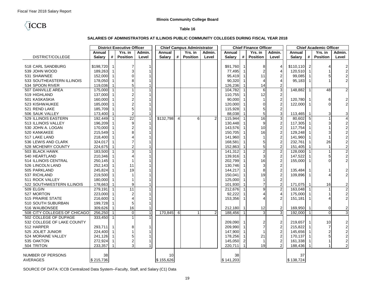## **TCCB**

#### **Table 16**

#### **SALARIES OF ADMINISTRATORS AT ILLINOIS PUBLIC COMMUNITY COLLEGES DURING FISCAL YEAR 2018**

| Yrs. in<br>Yrs. in<br>Annual<br>Admin.<br>Annual<br>Yrs. in<br>Admin.<br>Annual<br>Annual<br>Yrs. in<br>Admin.<br>Admin.<br>DISTRICT/COLLEGE<br>#<br><b>Position</b><br><b>Salary</b><br>#<br><b>Position</b><br>#<br><b>Position</b><br><b>Salary</b><br>#<br><b>Position</b><br><b>Salary</b><br>Level<br><b>Salary</b><br>Level<br>Level<br>Level<br>518 CARL SANDBURG<br>\$198,720<br>\$91,760<br>\$110,110<br>2<br>8<br>$\overline{4}$<br>$\overline{2}$<br>-1<br>7<br>1<br>4<br>$\overline{\mathbf{c}}$<br>189,263<br>539 JOHN WOOD<br>77,495<br>$\overline{2}$<br>4<br>120,510<br>-1<br>$\overline{\mathbf{c}}$<br>$\overline{c}$<br>531 SHAWNEE<br>152,000<br>95,419<br>11<br>99,085<br>5<br>$\overline{c}$<br>$\overline{4}$<br>533 SOUTHEASTERN ILLINOIS<br>178,050<br>90,320<br>95,183<br>4<br>119,036<br>126,236<br>14<br>$\overline{2}$<br>534 SPOON RIVER<br>5<br>104,782<br>3<br>507 DANVILLE AREA<br>175,000<br>6<br>148,882<br>48<br>$\overline{2}$<br>-1<br>12<br>$\overline{2}$<br>519 HIGHLAND<br>137,000<br>110,755<br>$\mathbf 1$<br>$\overline{2}$<br>160,000<br>90,000<br>6<br>$\frac{2}{2}$<br>501 KASKASKIA<br>120,780<br>$\overline{c}$<br>185,000<br>120,000<br>$\Omega$<br>523 KISHWAUKEE<br>$\Omega$<br>122,000<br>$\boldsymbol{2}$<br>185,709<br>115,928<br>5<br>521 REND LAKE<br>5<br>3<br>506 SAUK VALLEY<br>173,400<br>88,038<br>5<br>3<br>3<br>113,465<br>-1<br>$\overline{4}$<br>$\overline{22}$<br>16<br>3<br>\$132,798<br>2<br>529 ILLINOIS EASTERN<br>192,449<br>$\mathbf{1}$<br>6<br>115,944<br>80,602<br>5<br>$\overline{4}$<br>$\overline{\mathbf{c}}$<br>$\overline{2}$<br>513 ILLINOIS VALLEY<br>196,209<br>130,448<br>117,305<br>3<br>9<br>$2222$<br>$222$<br>$\overline{c}$<br>10<br>170,000<br>143,576<br>530 JOHN A. LOGAN<br>117,754<br>$\overline{c}$<br>16<br>520 KANKAKEE<br>215,549<br>150,705<br>129,248<br>3<br>$\overline{2}$<br>218,400<br>141,960<br>517 LAKE LAND<br>141,960<br>$\overline{2}$<br>26<br>536 LEWIS AND CLARK<br>324,017<br>168,581<br>5<br>232,761<br>$\overline{c}$<br>224,675<br>152,863<br>5<br>528 MCHENRY COUNTY<br>151,405<br>$\overline{1}$<br>$\overline{\mathbf{c}}$<br>$\overline{2}$<br>503 BLACK HAWK<br>183.500<br>141,312<br>128,000<br>- 1<br>$\overline{\mathbf{c}}$<br>$\overline{c}$<br>3<br>540 HEARTLAND<br>210,346<br>139,916<br>5<br>$\overline{1}$<br>147,522<br>$\overline{c}$<br>$\overline{c}$<br>514 ILLINOIS CENTRAL<br>250,145<br>202,799<br>16<br>155,000<br>$\Omega$<br>$\overline{2}$<br>252,143<br>130,746<br>3<br>526 LINCOLN LAND<br>11<br>$\mathbf 2$<br>245,824<br>19<br>505 PARKLAND<br>144,217<br>8<br>135,484<br>2<br>$\overline{2}$<br>$\boldsymbol{2}$<br>537 RICHLAND<br>219,500<br>150,041<br>19<br>109,896<br>$\boldsymbol{\Delta}$<br>$\overline{2}$<br>511 ROCK VALLEY<br>180,000<br>125,000 |
|-----------------------------------------------------------------------------------------------------------------------------------------------------------------------------------------------------------------------------------------------------------------------------------------------------------------------------------------------------------------------------------------------------------------------------------------------------------------------------------------------------------------------------------------------------------------------------------------------------------------------------------------------------------------------------------------------------------------------------------------------------------------------------------------------------------------------------------------------------------------------------------------------------------------------------------------------------------------------------------------------------------------------------------------------------------------------------------------------------------------------------------------------------------------------------------------------------------------------------------------------------------------------------------------------------------------------------------------------------------------------------------------------------------------------------------------------------------------------------------------------------------------------------------------------------------------------------------------------------------------------------------------------------------------------------------------------------------------------------------------------------------------------------------------------------------------------------------------------------------------------------------------------------------------------------------------------------------------------------------------------------------------------------------------------------------------------------------------------------------------------------------------------------------------------------------------------------------------------------------------------------------------------------------------------------------------------------------------------------------------------------------------------------------------------------------------------------------------------------------------------------------------------------------------------------------------------------------------------------------------------------------------------------------------------------------------------------------------------------------------------------------------------------------------------------------------------|
|                                                                                                                                                                                                                                                                                                                                                                                                                                                                                                                                                                                                                                                                                                                                                                                                                                                                                                                                                                                                                                                                                                                                                                                                                                                                                                                                                                                                                                                                                                                                                                                                                                                                                                                                                                                                                                                                                                                                                                                                                                                                                                                                                                                                                                                                                                                                                                                                                                                                                                                                                                                                                                                                                                                                                                                                                       |
|                                                                                                                                                                                                                                                                                                                                                                                                                                                                                                                                                                                                                                                                                                                                                                                                                                                                                                                                                                                                                                                                                                                                                                                                                                                                                                                                                                                                                                                                                                                                                                                                                                                                                                                                                                                                                                                                                                                                                                                                                                                                                                                                                                                                                                                                                                                                                                                                                                                                                                                                                                                                                                                                                                                                                                                                                       |
|                                                                                                                                                                                                                                                                                                                                                                                                                                                                                                                                                                                                                                                                                                                                                                                                                                                                                                                                                                                                                                                                                                                                                                                                                                                                                                                                                                                                                                                                                                                                                                                                                                                                                                                                                                                                                                                                                                                                                                                                                                                                                                                                                                                                                                                                                                                                                                                                                                                                                                                                                                                                                                                                                                                                                                                                                       |
|                                                                                                                                                                                                                                                                                                                                                                                                                                                                                                                                                                                                                                                                                                                                                                                                                                                                                                                                                                                                                                                                                                                                                                                                                                                                                                                                                                                                                                                                                                                                                                                                                                                                                                                                                                                                                                                                                                                                                                                                                                                                                                                                                                                                                                                                                                                                                                                                                                                                                                                                                                                                                                                                                                                                                                                                                       |
|                                                                                                                                                                                                                                                                                                                                                                                                                                                                                                                                                                                                                                                                                                                                                                                                                                                                                                                                                                                                                                                                                                                                                                                                                                                                                                                                                                                                                                                                                                                                                                                                                                                                                                                                                                                                                                                                                                                                                                                                                                                                                                                                                                                                                                                                                                                                                                                                                                                                                                                                                                                                                                                                                                                                                                                                                       |
|                                                                                                                                                                                                                                                                                                                                                                                                                                                                                                                                                                                                                                                                                                                                                                                                                                                                                                                                                                                                                                                                                                                                                                                                                                                                                                                                                                                                                                                                                                                                                                                                                                                                                                                                                                                                                                                                                                                                                                                                                                                                                                                                                                                                                                                                                                                                                                                                                                                                                                                                                                                                                                                                                                                                                                                                                       |
|                                                                                                                                                                                                                                                                                                                                                                                                                                                                                                                                                                                                                                                                                                                                                                                                                                                                                                                                                                                                                                                                                                                                                                                                                                                                                                                                                                                                                                                                                                                                                                                                                                                                                                                                                                                                                                                                                                                                                                                                                                                                                                                                                                                                                                                                                                                                                                                                                                                                                                                                                                                                                                                                                                                                                                                                                       |
|                                                                                                                                                                                                                                                                                                                                                                                                                                                                                                                                                                                                                                                                                                                                                                                                                                                                                                                                                                                                                                                                                                                                                                                                                                                                                                                                                                                                                                                                                                                                                                                                                                                                                                                                                                                                                                                                                                                                                                                                                                                                                                                                                                                                                                                                                                                                                                                                                                                                                                                                                                                                                                                                                                                                                                                                                       |
|                                                                                                                                                                                                                                                                                                                                                                                                                                                                                                                                                                                                                                                                                                                                                                                                                                                                                                                                                                                                                                                                                                                                                                                                                                                                                                                                                                                                                                                                                                                                                                                                                                                                                                                                                                                                                                                                                                                                                                                                                                                                                                                                                                                                                                                                                                                                                                                                                                                                                                                                                                                                                                                                                                                                                                                                                       |
|                                                                                                                                                                                                                                                                                                                                                                                                                                                                                                                                                                                                                                                                                                                                                                                                                                                                                                                                                                                                                                                                                                                                                                                                                                                                                                                                                                                                                                                                                                                                                                                                                                                                                                                                                                                                                                                                                                                                                                                                                                                                                                                                                                                                                                                                                                                                                                                                                                                                                                                                                                                                                                                                                                                                                                                                                       |
|                                                                                                                                                                                                                                                                                                                                                                                                                                                                                                                                                                                                                                                                                                                                                                                                                                                                                                                                                                                                                                                                                                                                                                                                                                                                                                                                                                                                                                                                                                                                                                                                                                                                                                                                                                                                                                                                                                                                                                                                                                                                                                                                                                                                                                                                                                                                                                                                                                                                                                                                                                                                                                                                                                                                                                                                                       |
|                                                                                                                                                                                                                                                                                                                                                                                                                                                                                                                                                                                                                                                                                                                                                                                                                                                                                                                                                                                                                                                                                                                                                                                                                                                                                                                                                                                                                                                                                                                                                                                                                                                                                                                                                                                                                                                                                                                                                                                                                                                                                                                                                                                                                                                                                                                                                                                                                                                                                                                                                                                                                                                                                                                                                                                                                       |
|                                                                                                                                                                                                                                                                                                                                                                                                                                                                                                                                                                                                                                                                                                                                                                                                                                                                                                                                                                                                                                                                                                                                                                                                                                                                                                                                                                                                                                                                                                                                                                                                                                                                                                                                                                                                                                                                                                                                                                                                                                                                                                                                                                                                                                                                                                                                                                                                                                                                                                                                                                                                                                                                                                                                                                                                                       |
|                                                                                                                                                                                                                                                                                                                                                                                                                                                                                                                                                                                                                                                                                                                                                                                                                                                                                                                                                                                                                                                                                                                                                                                                                                                                                                                                                                                                                                                                                                                                                                                                                                                                                                                                                                                                                                                                                                                                                                                                                                                                                                                                                                                                                                                                                                                                                                                                                                                                                                                                                                                                                                                                                                                                                                                                                       |
|                                                                                                                                                                                                                                                                                                                                                                                                                                                                                                                                                                                                                                                                                                                                                                                                                                                                                                                                                                                                                                                                                                                                                                                                                                                                                                                                                                                                                                                                                                                                                                                                                                                                                                                                                                                                                                                                                                                                                                                                                                                                                                                                                                                                                                                                                                                                                                                                                                                                                                                                                                                                                                                                                                                                                                                                                       |
|                                                                                                                                                                                                                                                                                                                                                                                                                                                                                                                                                                                                                                                                                                                                                                                                                                                                                                                                                                                                                                                                                                                                                                                                                                                                                                                                                                                                                                                                                                                                                                                                                                                                                                                                                                                                                                                                                                                                                                                                                                                                                                                                                                                                                                                                                                                                                                                                                                                                                                                                                                                                                                                                                                                                                                                                                       |
|                                                                                                                                                                                                                                                                                                                                                                                                                                                                                                                                                                                                                                                                                                                                                                                                                                                                                                                                                                                                                                                                                                                                                                                                                                                                                                                                                                                                                                                                                                                                                                                                                                                                                                                                                                                                                                                                                                                                                                                                                                                                                                                                                                                                                                                                                                                                                                                                                                                                                                                                                                                                                                                                                                                                                                                                                       |
|                                                                                                                                                                                                                                                                                                                                                                                                                                                                                                                                                                                                                                                                                                                                                                                                                                                                                                                                                                                                                                                                                                                                                                                                                                                                                                                                                                                                                                                                                                                                                                                                                                                                                                                                                                                                                                                                                                                                                                                                                                                                                                                                                                                                                                                                                                                                                                                                                                                                                                                                                                                                                                                                                                                                                                                                                       |
|                                                                                                                                                                                                                                                                                                                                                                                                                                                                                                                                                                                                                                                                                                                                                                                                                                                                                                                                                                                                                                                                                                                                                                                                                                                                                                                                                                                                                                                                                                                                                                                                                                                                                                                                                                                                                                                                                                                                                                                                                                                                                                                                                                                                                                                                                                                                                                                                                                                                                                                                                                                                                                                                                                                                                                                                                       |
|                                                                                                                                                                                                                                                                                                                                                                                                                                                                                                                                                                                                                                                                                                                                                                                                                                                                                                                                                                                                                                                                                                                                                                                                                                                                                                                                                                                                                                                                                                                                                                                                                                                                                                                                                                                                                                                                                                                                                                                                                                                                                                                                                                                                                                                                                                                                                                                                                                                                                                                                                                                                                                                                                                                                                                                                                       |
|                                                                                                                                                                                                                                                                                                                                                                                                                                                                                                                                                                                                                                                                                                                                                                                                                                                                                                                                                                                                                                                                                                                                                                                                                                                                                                                                                                                                                                                                                                                                                                                                                                                                                                                                                                                                                                                                                                                                                                                                                                                                                                                                                                                                                                                                                                                                                                                                                                                                                                                                                                                                                                                                                                                                                                                                                       |
|                                                                                                                                                                                                                                                                                                                                                                                                                                                                                                                                                                                                                                                                                                                                                                                                                                                                                                                                                                                                                                                                                                                                                                                                                                                                                                                                                                                                                                                                                                                                                                                                                                                                                                                                                                                                                                                                                                                                                                                                                                                                                                                                                                                                                                                                                                                                                                                                                                                                                                                                                                                                                                                                                                                                                                                                                       |
|                                                                                                                                                                                                                                                                                                                                                                                                                                                                                                                                                                                                                                                                                                                                                                                                                                                                                                                                                                                                                                                                                                                                                                                                                                                                                                                                                                                                                                                                                                                                                                                                                                                                                                                                                                                                                                                                                                                                                                                                                                                                                                                                                                                                                                                                                                                                                                                                                                                                                                                                                                                                                                                                                                                                                                                                                       |
|                                                                                                                                                                                                                                                                                                                                                                                                                                                                                                                                                                                                                                                                                                                                                                                                                                                                                                                                                                                                                                                                                                                                                                                                                                                                                                                                                                                                                                                                                                                                                                                                                                                                                                                                                                                                                                                                                                                                                                                                                                                                                                                                                                                                                                                                                                                                                                                                                                                                                                                                                                                                                                                                                                                                                                                                                       |
|                                                                                                                                                                                                                                                                                                                                                                                                                                                                                                                                                                                                                                                                                                                                                                                                                                                                                                                                                                                                                                                                                                                                                                                                                                                                                                                                                                                                                                                                                                                                                                                                                                                                                                                                                                                                                                                                                                                                                                                                                                                                                                                                                                                                                                                                                                                                                                                                                                                                                                                                                                                                                                                                                                                                                                                                                       |
|                                                                                                                                                                                                                                                                                                                                                                                                                                                                                                                                                                                                                                                                                                                                                                                                                                                                                                                                                                                                                                                                                                                                                                                                                                                                                                                                                                                                                                                                                                                                                                                                                                                                                                                                                                                                                                                                                                                                                                                                                                                                                                                                                                                                                                                                                                                                                                                                                                                                                                                                                                                                                                                                                                                                                                                                                       |
|                                                                                                                                                                                                                                                                                                                                                                                                                                                                                                                                                                                                                                                                                                                                                                                                                                                                                                                                                                                                                                                                                                                                                                                                                                                                                                                                                                                                                                                                                                                                                                                                                                                                                                                                                                                                                                                                                                                                                                                                                                                                                                                                                                                                                                                                                                                                                                                                                                                                                                                                                                                                                                                                                                                                                                                                                       |
|                                                                                                                                                                                                                                                                                                                                                                                                                                                                                                                                                                                                                                                                                                                                                                                                                                                                                                                                                                                                                                                                                                                                                                                                                                                                                                                                                                                                                                                                                                                                                                                                                                                                                                                                                                                                                                                                                                                                                                                                                                                                                                                                                                                                                                                                                                                                                                                                                                                                                                                                                                                                                                                                                                                                                                                                                       |
| $\overline{2}$<br>178,663<br>101,930<br>$\overline{\mathbf{c}}$<br>522 SOUTHWESTERN ILLINOIS<br>$\overline{7}$<br>171,075<br>16<br>9<br>1                                                                                                                                                                                                                                                                                                                                                                                                                                                                                                                                                                                                                                                                                                                                                                                                                                                                                                                                                                                                                                                                                                                                                                                                                                                                                                                                                                                                                                                                                                                                                                                                                                                                                                                                                                                                                                                                                                                                                                                                                                                                                                                                                                                                                                                                                                                                                                                                                                                                                                                                                                                                                                                                             |
| $\overline{c}$<br>$\overline{2}$<br>509 ELGIN<br>279.191<br>11<br>212,676<br>163.048<br>-1                                                                                                                                                                                                                                                                                                                                                                                                                                                                                                                                                                                                                                                                                                                                                                                                                                                                                                                                                                                                                                                                                                                                                                                                                                                                                                                                                                                                                                                                                                                                                                                                                                                                                                                                                                                                                                                                                                                                                                                                                                                                                                                                                                                                                                                                                                                                                                                                                                                                                                                                                                                                                                                                                                                            |
| $\boldsymbol{2}$<br>527 MORTON<br>$\overline{4}$<br>223,000<br>92,222<br>175,000<br>2                                                                                                                                                                                                                                                                                                                                                                                                                                                                                                                                                                                                                                                                                                                                                                                                                                                                                                                                                                                                                                                                                                                                                                                                                                                                                                                                                                                                                                                                                                                                                                                                                                                                                                                                                                                                                                                                                                                                                                                                                                                                                                                                                                                                                                                                                                                                                                                                                                                                                                                                                                                                                                                                                                                                 |
| $\overline{c}$<br><b>515 PRAIRIE STATE</b><br>216,600<br>$\overline{2}$<br>153,356<br>151,181<br>$\boldsymbol{\Delta}$                                                                                                                                                                                                                                                                                                                                                                                                                                                                                                                                                                                                                                                                                                                                                                                                                                                                                                                                                                                                                                                                                                                                                                                                                                                                                                                                                                                                                                                                                                                                                                                                                                                                                                                                                                                                                                                                                                                                                                                                                                                                                                                                                                                                                                                                                                                                                                                                                                                                                                                                                                                                                                                                                                |
| 199,728<br>510 SOUTH SUBURBAN<br>5                                                                                                                                                                                                                                                                                                                                                                                                                                                                                                                                                                                                                                                                                                                                                                                                                                                                                                                                                                                                                                                                                                                                                                                                                                                                                                                                                                                                                                                                                                                                                                                                                                                                                                                                                                                                                                                                                                                                                                                                                                                                                                                                                                                                                                                                                                                                                                                                                                                                                                                                                                                                                                                                                                                                                                                    |
| 309,626<br>16<br>$\boldsymbol{2}$<br>$\boldsymbol{2}$<br>212,180<br>12<br>169,950<br>0<br>516 WAUBONSEE<br>-1                                                                                                                                                                                                                                                                                                                                                                                                                                                                                                                                                                                                                                                                                                                                                                                                                                                                                                                                                                                                                                                                                                                                                                                                                                                                                                                                                                                                                                                                                                                                                                                                                                                                                                                                                                                                                                                                                                                                                                                                                                                                                                                                                                                                                                                                                                                                                                                                                                                                                                                                                                                                                                                                                                         |
| $\overline{3}$<br>$\overline{3}$<br>508 CITY COLLEGES OF CHICAGO<br>256,250<br>170,845<br>2<br>3<br>$\Omega$<br>6<br>188,456<br>192,000<br>$\Omega$<br>$\mathbf{1}$<br>-1                                                                                                                                                                                                                                                                                                                                                                                                                                                                                                                                                                                                                                                                                                                                                                                                                                                                                                                                                                                                                                                                                                                                                                                                                                                                                                                                                                                                                                                                                                                                                                                                                                                                                                                                                                                                                                                                                                                                                                                                                                                                                                                                                                                                                                                                                                                                                                                                                                                                                                                                                                                                                                             |
| 502 COLLEGE OF DUPAGE<br>333,450<br>$\overline{1}$                                                                                                                                                                                                                                                                                                                                                                                                                                                                                                                                                                                                                                                                                                                                                                                                                                                                                                                                                                                                                                                                                                                                                                                                                                                                                                                                                                                                                                                                                                                                                                                                                                                                                                                                                                                                                                                                                                                                                                                                                                                                                                                                                                                                                                                                                                                                                                                                                                                                                                                                                                                                                                                                                                                                                                    |
| $\overline{2}$<br>$\overline{\mathbf{c}}$<br>532 COLLEGE OF LAKE COUNTY<br>209,090<br>219,657<br>10                                                                                                                                                                                                                                                                                                                                                                                                                                                                                                                                                                                                                                                                                                                                                                                                                                                                                                                                                                                                                                                                                                                                                                                                                                                                                                                                                                                                                                                                                                                                                                                                                                                                                                                                                                                                                                                                                                                                                                                                                                                                                                                                                                                                                                                                                                                                                                                                                                                                                                                                                                                                                                                                                                                   |
| $\overline{c}$<br>$\overline{7}$<br>512 HARPER<br>209.990<br>$\overline{7}$<br>215,822<br>293.711                                                                                                                                                                                                                                                                                                                                                                                                                                                                                                                                                                                                                                                                                                                                                                                                                                                                                                                                                                                                                                                                                                                                                                                                                                                                                                                                                                                                                                                                                                                                                                                                                                                                                                                                                                                                                                                                                                                                                                                                                                                                                                                                                                                                                                                                                                                                                                                                                                                                                                                                                                                                                                                                                                                     |
| $\frac{2}{2}$<br>$\overline{\mathbf{c}}$<br>$\overline{2}$<br>525 JOLIET JUNIOR<br>224,400<br>147,900<br>145,656                                                                                                                                                                                                                                                                                                                                                                                                                                                                                                                                                                                                                                                                                                                                                                                                                                                                                                                                                                                                                                                                                                                                                                                                                                                                                                                                                                                                                                                                                                                                                                                                                                                                                                                                                                                                                                                                                                                                                                                                                                                                                                                                                                                                                                                                                                                                                                                                                                                                                                                                                                                                                                                                                                      |
| $\overline{c}$<br>$\overline{\mathbf{c}}$<br>524 MORAINE VALLEY<br>241,126<br>178,256<br>5<br>21<br>170,137                                                                                                                                                                                                                                                                                                                                                                                                                                                                                                                                                                                                                                                                                                                                                                                                                                                                                                                                                                                                                                                                                                                                                                                                                                                                                                                                                                                                                                                                                                                                                                                                                                                                                                                                                                                                                                                                                                                                                                                                                                                                                                                                                                                                                                                                                                                                                                                                                                                                                                                                                                                                                                                                                                           |
| $\mathbf 2$<br>535 OAKTON<br>272,924<br>145,050<br>2<br>161,338<br>$\mathbf 1$<br>1<br>$\overline{2}$<br>-1                                                                                                                                                                                                                                                                                                                                                                                                                                                                                                                                                                                                                                                                                                                                                                                                                                                                                                                                                                                                                                                                                                                                                                                                                                                                                                                                                                                                                                                                                                                                                                                                                                                                                                                                                                                                                                                                                                                                                                                                                                                                                                                                                                                                                                                                                                                                                                                                                                                                                                                                                                                                                                                                                                           |
| $\frac{2}{2}$<br>$\overline{2}$<br>233,357<br>19<br>504 TRITON<br>3<br>220,711<br>188,436<br>$\overline{\mathbf{1}}$                                                                                                                                                                                                                                                                                                                                                                                                                                                                                                                                                                                                                                                                                                                                                                                                                                                                                                                                                                                                                                                                                                                                                                                                                                                                                                                                                                                                                                                                                                                                                                                                                                                                                                                                                                                                                                                                                                                                                                                                                                                                                                                                                                                                                                                                                                                                                                                                                                                                                                                                                                                                                                                                                                  |
|                                                                                                                                                                                                                                                                                                                                                                                                                                                                                                                                                                                                                                                                                                                                                                                                                                                                                                                                                                                                                                                                                                                                                                                                                                                                                                                                                                                                                                                                                                                                                                                                                                                                                                                                                                                                                                                                                                                                                                                                                                                                                                                                                                                                                                                                                                                                                                                                                                                                                                                                                                                                                                                                                                                                                                                                                       |
| NUMBER OF PERSONS<br>38<br>10<br>38<br>37                                                                                                                                                                                                                                                                                                                                                                                                                                                                                                                                                                                                                                                                                                                                                                                                                                                                                                                                                                                                                                                                                                                                                                                                                                                                                                                                                                                                                                                                                                                                                                                                                                                                                                                                                                                                                                                                                                                                                                                                                                                                                                                                                                                                                                                                                                                                                                                                                                                                                                                                                                                                                                                                                                                                                                             |
| \$155,626<br><b>AVERAGES</b><br>\$215,736<br>\$141,203<br>\$138,724                                                                                                                                                                                                                                                                                                                                                                                                                                                                                                                                                                                                                                                                                                                                                                                                                                                                                                                                                                                                                                                                                                                                                                                                                                                                                                                                                                                                                                                                                                                                                                                                                                                                                                                                                                                                                                                                                                                                                                                                                                                                                                                                                                                                                                                                                                                                                                                                                                                                                                                                                                                                                                                                                                                                                   |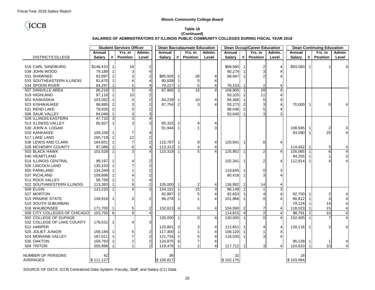## **TCCB**

#### **Table 16 (Continued) SALARIES OF ADMINISTRATORS AT ILLINOIS PUBLIC COMMUNITY COLLEGES DURING FISCAL YEAR 2018**

|                              |               |                | <b>Student Services Officer</b> |                         |               |                         | <b>Dean Baccalaureate Education</b> |                         |               |                | <b>Dean Occup/Career Education</b> |                          |               |                | <b>Dean Continuing Education</b> |                         |
|------------------------------|---------------|----------------|---------------------------------|-------------------------|---------------|-------------------------|-------------------------------------|-------------------------|---------------|----------------|------------------------------------|--------------------------|---------------|----------------|----------------------------------|-------------------------|
|                              | Annual        |                | Yrs. in                         | Admin.                  | Annual        |                         | Yrs. in                             | Admin.                  | Annual        |                | Yrs. in                            | Admin.                   | Annual        |                | Yrs. in                          | Admin.                  |
| DISTRICT/COLLEGE             | <b>Salary</b> | #              | <b>Position</b>                 | Level                   | <b>Salary</b> | #                       | <b>Position</b>                     | Level                   | <b>Salary</b> | #              | <b>Position</b>                    | Level                    | <b>Salary</b> | #              | <b>Position</b>                  | Level                   |
|                              |               |                |                                 |                         |               |                         |                                     |                         |               |                |                                    |                          |               |                |                                  |                         |
| 518 CARL SANDBURG            | \$148,410     | $\overline{1}$ | 18                              | $\overline{c}$          |               |                         |                                     |                         | \$89,560      | -1             | 2                                  | 4                        | \$93,060      | $\overline{1}$ |                                  |                         |
| 539 JOHN WOOD                | 79,189        |                | 3                               | 4                       |               |                         |                                     |                         | 80,274        |                | 3                                  | 4                        |               |                |                                  |                         |
| 531 SHAWNEE                  | 92,897        |                |                                 | $\overline{2}$          | \$85,926      |                         | 28                                  | $\overline{4}$          | 68.947        |                |                                    |                          |               |                |                                  |                         |
| 533 SOUTHEASTERN ILLINOIS    | 81,670        |                |                                 | $\overline{4}$          | 90,839        |                         | 5                                   | $\overline{4}$          |               |                |                                    |                          |               |                |                                  |                         |
| 534 SPOON RIVER              | 84,297        |                | 5                               | $\overline{4}$          | 79,227        |                         | 5                                   | $\overline{4}$          | 76,153        |                | $\overline{2}$                     | 4                        |               |                |                                  |                         |
| 507 DANVILLE AREA            | 86,219        | -1             | 5                               | $\overline{4}$          | 87,965        | $\overline{2}$          | $\overline{15}$                     | $\overline{4}$          | 108,905       |                | 39                                 | $\overline{4}$           |               |                |                                  |                         |
| 519 HIGHLAND                 | 97,118        |                | 10                              | $\boldsymbol{2}$        |               |                         |                                     |                         | 93,325        |                | 11                                 | $\overline{4}$           |               |                |                                  |                         |
| 501 KASKASKIA                | 103,052       |                |                                 | $\sqrt{2}$              | 84,239        |                         | 10                                  | $\overline{4}$          | 84,466        |                | 5                                  | $\overline{4}$           |               |                |                                  |                         |
| 523 KISHWAUKEE               | 98,885        |                |                                 | $\overline{2}$          | 87.754        | 2                       | 3                                   | $\overline{4}$          | 93,273        | $\mathcal{P}$  | 3                                  | $\overline{4}$           | 70,000        | -1             | $\Omega$                         |                         |
| 521 REND LAKE                | 78,926        |                |                                 | $\overline{\mathbf{c}}$ |               |                         |                                     |                         | 88,046        |                | 5                                  | 4                        |               |                |                                  |                         |
| 506 SAUK VALLEY              | 84,048        |                |                                 | 3                       |               |                         |                                     |                         | 83,640        | $\overline{1}$ |                                    | 3                        |               |                |                                  |                         |
| 529 ILLINOIS EASTERN         | 47,733        | $\mathbf{3}$   | 3                               | $\overline{4}$          |               |                         |                                     |                         |               |                |                                    |                          |               |                |                                  |                         |
| 513 ILLINOIS VALLEY          | 85,927        |                |                                 | 3                       | 85,315        |                         | 9                                   | $\overline{4}$          |               |                |                                    |                          |               |                |                                  |                         |
| 530 JOHN A. LOGAN            |               |                |                                 |                         | 91,944        |                         |                                     | 3                       |               |                |                                    |                          | 108,945       |                | $\overline{\mathbf{c}}$          | 3                       |
| 520 KANKAKEE                 | 109,108       |                |                                 | $\overline{4}$          |               |                         |                                     |                         |               |                |                                    |                          | 93,590        |                | 20                               |                         |
| 517 LAKE LAND                | 165,719       |                | 12                              | $\boldsymbol{2}$        |               |                         |                                     |                         |               |                |                                    |                          |               |                |                                  |                         |
| 536 LEWIS AND CLARK          | 164,651       |                | $\overline{7}$                  | $\overline{c}$          | 115,787       | -1                      | 9                                   | $\overline{4}$          | 120,941       | -1             | 8                                  | 4                        |               |                |                                  |                         |
| 528 MCHENRY COUNTY           | 97,088        |                | 6                               | $\overline{4}$          | 113,313       |                         |                                     | $\overline{4}$          |               |                |                                    |                          | 114,452       |                | 3                                |                         |
| 503 BLACK HAWK               | 101,528       | $\overline{1}$ |                                 | $\overline{4}$          | 110.319 1     |                         | 5                                   | $\overline{4}$          | 125,952       | -1             | $\overline{2}$                     | $\overline{4}$           | 105.065       |                | 6                                | $\overline{\mathbf{4}}$ |
| 540 HEARTLAND                |               |                |                                 |                         |               |                         |                                     |                         |               |                |                                    |                          | 84,255        |                |                                  | 3 <sup>1</sup>          |
| 514 ILLINOIS CENTRAL         | 99,197        |                |                                 | $\overline{2}$          |               |                         |                                     |                         | 102,341       |                | $\overline{2}$                     | $\overline{4}$           | 112,814       |                |                                  | 4                       |
| 526 LINCOLN LAND             | 135,153       |                |                                 | $\overline{2}$          |               |                         |                                     |                         |               |                |                                    |                          |               |                |                                  |                         |
| 505 PARKLAND                 | 134,349       |                |                                 | $\overline{c}$          |               |                         |                                     |                         | 119,645       |                | 0                                  | 3                        |               |                |                                  |                         |
| 537 RICHLAND                 | 109,896       |                |                                 | $\mathbf 2$             |               |                         |                                     |                         | 80,416        |                | 3                                  | $\overline{4}$           |               |                |                                  |                         |
| 511 ROCK VALLEY              | 58,759        |                |                                 | $\overline{4}$          |               |                         |                                     |                         |               |                |                                    |                          |               |                |                                  |                         |
| 522 SOUTHWESTERN ILLINOIS    | 113,383       |                |                                 | $\overline{2}$          | 105,000       | $\overline{\mathbf{1}}$ | 2                                   | 4                       | 136,982       |                | 14                                 | 4                        |               |                |                                  |                         |
| 509 ELGIN                    | 123,220       | $\overline{1}$ |                                 | 3                       | 154,101       |                         | 15                                  | 3                       | 96,149        | - 1            |                                    | 3                        |               |                |                                  |                         |
| 527 MORTON                   |               |                |                                 |                         | 92,887        |                         | 5                                   | $\overline{\mathbf{4}}$ | 82,653        |                |                                    | $\overline{4}$           | 92,700 1      |                | $\overline{\mathbf{c}}$          |                         |
| 515 PRAIRIE STATE            | 149,918       | - 1            | U                               | $\overline{2}$          | 96,278        | -1                      |                                     | $\overline{4}$          | 101,966       |                | $\Omega$                           | $\overline{\mathcal{A}}$ | 90,812        |                | 3                                | 4                       |
| 510 SOUTH SUBURBAN           |               |                |                                 |                         |               |                         |                                     |                         |               |                |                                    |                          | 79,124        |                | 14                               | $\overline{4}$          |
| 516 WAUBONSEE                | 171,700 1     |                | 5 <sup>1</sup>                  | $\boldsymbol{2}$        | 102,613       | $\overline{a}$          | $6 \mid$                            | 4                       | 104,590 2     |                | $\overline{7}$                     | 4                        | 118,023       |                | 15                               | 4                       |
| 508 CITY COLLEGES OF CHICAGO | 103,750       | $\overline{6}$ | 8                               | $\overline{4}$          |               |                         |                                     |                         | 114,615       | $\overline{4}$ | $\overline{2}$                     | $\overline{4}$           | 98,791        | $\overline{2}$ | 10                               | $\overline{4}$          |
| 502 COLLEGE OF DUPAGE        |               |                |                                 |                         | 130,000       | -1                      | $\Omega$                            | $\overline{4}$          | 130,000       | -1             | $\Omega$                           | $\overline{\mathbf{A}}$  | 152,405       |                |                                  | $\overline{4}$          |
| 532 COLLEGE OF LAKE COUNTY   | 178,531       | -1             |                                 | 3                       |               |                         |                                     |                         |               |                |                                    |                          |               |                |                                  |                         |
| 512 HARPER                   |               |                |                                 |                         | 120,801       | 3                       | 3                                   | $\overline{4}$          | 112,651       |                |                                    | 4                        | 139,116 1     |                | 2                                |                         |
| 525 JOLIET JUNIOR            | 158,184 1     |                |                                 | $\overline{\mathbf{c}}$ | 117,300       |                         |                                     | $\overline{\mathbf{4}}$ | 108,120       |                |                                    | $\overline{4}$           |               |                |                                  |                         |
| 524 MORAINE VALLEY           | 167,011       |                |                                 | $\sqrt{2}$              | 121,734       |                         |                                     | $\overline{\mathbf{4}}$ | 118,530       | - 1            | 3                                  | $\overline{4}$           |               |                |                                  |                         |
| 535 OAKTON                   | 159,793       |                |                                 | $\overline{2}$          | 124,875       | 6                       |                                     | $\pmb{4}$               |               |                |                                    |                          | 95,139        |                | -1                               |                         |
| 504 TRITON                   | 205,996       |                |                                 | $\overline{2}$          | 119,478       | $\overline{\mathbf{1}}$ | 2                                   | $\overline{4}$          | 117,712       | -1             | 3                                  | $\overline{4}$           | 124,810       |                | 10                               |                         |
|                              |               |                |                                 |                         |               |                         |                                     |                         |               |                |                                    |                          |               |                |                                  |                         |
| NUMBER OF PERSONS            | 42            |                |                                 |                         | 36            |                         |                                     |                         | 32            |                |                                    |                          | 18            |                |                                  |                         |
| <b>AVERAGES</b>              | \$111,127     |                |                                 |                         | \$106,817     |                         |                                     |                         | \$102,175     |                |                                    |                          | \$103,994     |                |                                  |                         |
|                              |               |                |                                 |                         |               |                         |                                     |                         |               |                |                                    |                          |               |                |                                  |                         |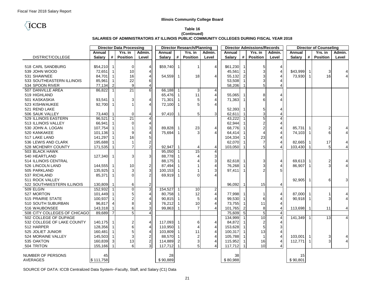## **TCCB**

#### **Table 16 (Continued) SALARIES OF ADMINISTRATORS AT ILLINOIS PUBLIC COMMUNITY COLLEGES DURING FISCAL YEAR 2018**

|                              | <b>Director Data Processing</b> |                |                 |                         | <b>Director Research/Planning</b> |                         |                 | <b>Director Admissions/Records</b> |               | <b>Director of Counseling</b> |                 |                |               |                |                         |                |
|------------------------------|---------------------------------|----------------|-----------------|-------------------------|-----------------------------------|-------------------------|-----------------|------------------------------------|---------------|-------------------------------|-----------------|----------------|---------------|----------------|-------------------------|----------------|
|                              | Annual                          |                | Yrs. in         | Admin.                  | Annual                            |                         | Yrs. in         | Admin.                             | Annual        |                               | Yrs. in         | Admin.         | Annual        |                | Yrs. in                 | Admin.         |
| DISTRICT/COLLEGE             | <b>Salary</b>                   | #              | <b>Position</b> | Level                   | <b>Salary</b>                     | #                       | <b>Position</b> | Level                              | <b>Salary</b> | #                             | <b>Position</b> | Level          | <b>Salary</b> | #              | <b>Position</b>         | Level          |
|                              |                                 |                |                 |                         |                                   |                         |                 |                                    |               |                               |                 |                |               |                |                         |                |
| 518 CARL SANDBURG            | \$54,210                        | $\overline{1}$ | $\overline{0}$  | $\overline{4}$          | \$59,740                          | $\overline{1}$          | -1              | $\overline{4}$                     | \$61,230      | -1                            | 5               | 4              |               |                |                         |                |
| 539 JOHN WOOD                | 72,651                          |                | 10              | $\overline{4}$          |                                   |                         |                 |                                    | 45,561        |                               | 3               | 4              | \$43,999      |                | 3                       |                |
| 531 SHAWNEE                  | 84,701                          |                | 16              | $\overline{4}$          | 54,559                            | -1                      | 18              | $\overline{4}$                     | 55,132        | $\overline{2}$                | 3               | $\overline{4}$ | 73,930        |                | 16                      | 4              |
| 533 SOUTHEASTERN ILLINOIS    | 85,961                          |                | 22              | 6                       |                                   |                         |                 |                                    | 53,508        |                               | 3               | $\overline{4}$ |               |                |                         |                |
| 534 SPOON RIVER              | 77,134                          | 2              | 9               | $\overline{4}$          |                                   |                         |                 |                                    | 58,206        |                               | 5               | 4              |               |                |                         |                |
| 507 DANVILLE AREA            | 86,822                          | $\overline{1}$ | 21              | 6                       | 66,188                            | -1                      | 3               | $\overline{4}$                     |               |                               |                 |                |               |                |                         |                |
| 519 HIGHLAND                 |                                 |                |                 |                         | 65,476                            |                         | 11              | $\overline{\mathbf{4}}$            | 55,065        |                               | 8               | 4              |               |                |                         |                |
| 501 KASKASKIA                | 93,541                          |                | 3               | $\overline{4}$          | 71,301                            |                         | 5               | $\overline{4}$                     | 71,363        |                               | 6               | $\overline{4}$ |               |                |                         |                |
| 523 KISHWAUKEE               | 92.700                          | $\overline{1}$ |                 | $\overline{4}$          | 72,100                            | - 1                     | 5               | $\overline{4}$                     |               |                               |                 |                |               |                |                         |                |
| 521 REND LAKE                |                                 |                |                 |                         |                                   |                         |                 |                                    | 52,393        |                               | 5               | 4              |               |                |                         |                |
| 506 SAUK VALLEY              | 73,440                          | $\mathbf 1$    | $\overline{0}$  | $\overline{4}$          | 97,410                            | $\overline{1}$          | 5               | 3                                  | 62,611        | $\overline{1}$                | 3               | 4              |               |                |                         |                |
| 529 ILLINOIS EASTERN         | 96,521                          |                | 21              | $\overline{\mathbf{4}}$ |                                   |                         |                 |                                    | 43,222        |                               | 5               | $\overline{4}$ |               |                |                         |                |
| 513 ILLINOIS VALLEY          | 66,941                          |                | 0               | 4                       |                                   |                         |                 |                                    | 62,944        |                               |                 | $\overline{4}$ |               |                |                         |                |
| 530 JOHN A. LOGAN            | 107,754                         |                |                 | 3                       | 89,828                            |                         | 23              | $\overline{4}$                     | 68,776        |                               | $\overline{2}$  | $\overline{4}$ | 85,731        |                | $\overline{\mathbf{c}}$ |                |
| 520 KANKAKEE                 | 101,136                         |                |                 | $\overline{4}$          | 75,694                            | -1                      | 3               | $\boldsymbol{\Delta}$              | 64,414        |                               |                 | $\overline{4}$ | 74,103        |                | 6                       |                |
| 517 LAKE LAND                | 141,297                         |                | 16              | 5                       |                                   |                         |                 |                                    | 104,334       |                               | 23              | $\overline{4}$ |               |                |                         |                |
| 536 LEWIS AND CLARK          | 195,688                         |                |                 | $\overline{2}$          |                                   |                         |                 |                                    | 62,070        |                               | $\overline{7}$  | $\overline{4}$ | 82,665        |                | 17                      |                |
| 528 MCHENRY COUNTY           | 171,535                         |                |                 | $\overline{2}$          | 92,947                            | $\overline{\mathbf{1}}$ |                 | 4                                  | 103,050       | $\overline{1}$                | 5               |                | 103,430       |                | 5                       |                |
| 503 BLACK HAWK               |                                 |                |                 |                         | 95.050                            |                         | 15              | $\overline{4}$                     |               |                               |                 |                |               |                |                         |                |
| 540 HEARTLAND                | 127,340                         |                | 3               | 3                       | 88,778                            |                         |                 | $\mathsf 3$                        |               |                               |                 |                |               |                |                         |                |
| 514 ILLINOIS CENTRAL         |                                 |                |                 |                         | 88,175                            |                         |                 | $\mathbf{3}$                       | 82,618 1      |                               | 3               | $\overline{4}$ | 69,613        |                | $\boldsymbol{2}$        | 4              |
| 526 LINCOLN LAND             | 144,555                         |                | 10              | $\overline{c}$          | 87,494                            |                         |                 | $\overline{4}$                     | 76,268        |                               | 3               | $\overline{4}$ | 86,907        |                | 3                       |                |
| 505 PARKLAND                 | 135,925                         |                | 3               | $\mathbf{3}$            | 100,153                           |                         |                 | 3                                  | 97,411        | -1                            |                 | 5              |               |                |                         |                |
| 537 RICHLAND                 | 85,371                          | $\overline{1}$ |                 | $\overline{2}$          | 69,919                            | -1                      |                 | $\boldsymbol{\Delta}$              |               |                               |                 |                |               |                |                         |                |
| 511 ROCK VALLEY              |                                 |                |                 |                         |                                   |                         |                 |                                    |               |                               |                 |                | 92,905        |                | 6                       | 3              |
| 522 SOUTHWESTERN ILLINOIS    | 130,809                         |                | 6               | 2                       |                                   |                         |                 |                                    | 96,092        | $\overline{1}$                | 15              | 4              |               |                |                         |                |
| 509 ELGIN                    | 152,932                         |                |                 | $\overline{3}$          | 154,527                           |                         | 10              | $\overline{2}$                     |               |                               |                 |                |               |                |                         |                |
| 527 MORTON                   | 101,449                         |                |                 | $\overline{4}$          | 80,758                            |                         | 12              | $\overline{\mathbf{4}}$            | 77,998        |                               | -1              | 4              | 87,000 1      |                |                         |                |
| 515 PRAIRIE STATE            | 100,937                         |                |                 | $\overline{4}$          | 90,815                            |                         | 5               | $\overline{4}$                     | 99,530        |                               | 6               | $\overline{4}$ | 90,918        |                | 3                       | 4              |
| 510 SOUTH SUBURBAN           | 96,817                          |                | 8               | 3                       | 76,212                            |                         | 10              | $\overline{4}$                     | 73,755        |                               | 11              | $\overline{4}$ |               |                |                         |                |
| 516 WAUBONSEE                | 143,318                         |                | 6               | 3                       | 99,863                            |                         | $\overline{7}$  | $\overline{4}$                     | 101,765       | $\overline{2}$                | 8               | $\overline{4}$ | 113,698       |                | 11                      | 4              |
| 508 CITY COLLEGES OF CHICAGO | 89,689                          | $\overline{7}$ |                 | $\overline{4}$          |                                   |                         |                 |                                    | 75.609        | 5                             | 5               | $\overline{4}$ |               |                |                         |                |
| 502 COLLEGE OF DUPAGE        |                                 |                |                 |                         |                                   |                         |                 |                                    | 134,999       |                               | 10              | $\overline{4}$ | 141,349       | $\overline{1}$ | $\overline{13}$         | $\overline{4}$ |
| 532 COLLEGE OF LAKE COUNTY   | 140,175                         |                | 2               | 4                       | 117,093                           | -1                      | 6               | 4                                  | 84,872        |                               | $\overline{2}$  | 4              |               |                |                         |                |
| 512 HARPER                   | 128,356                         |                | 6               | $\overline{4}$          | 110,950                           | -1                      | 4               | $\overline{4}$                     | 153,628       |                               | 5               | 3              |               |                |                         |                |
| 525 JOLIET JUNIOR            | 160,481                         |                | 5               | $\overline{4}$          | 103,809                           |                         | 11              | $\overline{4}$                     | 100,317       |                               | 13              | $\overline{4}$ |               |                |                         |                |
| 524 MORAINE VALLEY           | 145,503                         |                |                 | $\boldsymbol{2}$        | 88,570                            |                         | $\overline{2}$  | $\overline{\mathbf{4}}$            | 105,788       |                               | $\mathbf 1$     | $\overline{4}$ | 103,001       |                | 3                       |                |
| 535 OAKTON                   | 160,839                         | 3              | 13              | $\overline{2}$          | 114,889                           | 2                       | 3               | $\pmb{4}$                          | 115,952       |                               | 16              | $\overline{4}$ | 112,771       |                | $\sqrt{3}$              |                |
| 504 TRITON                   | 155,166                         |                | $6 \mid$        | 3                       | 117,712                           | $\overline{1}$          | 5               | $\overline{4}$                     | 117,712       | $\overline{\mathbf{1}}$       | 10              | 4              |               |                |                         |                |
|                              |                                 |                |                 |                         |                                   |                         |                 |                                    |               |                               |                 |                |               |                |                         |                |
| NUMBER OF PERSONS            | 45                              |                |                 |                         | 28                                |                         |                 |                                    | 38            |                               |                 |                | 15            |                |                         |                |
| <b>AVERAGES</b>              | \$111,758                       |                |                 |                         | \$90,889                          |                         |                 |                                    | \$80,988      |                               |                 |                | \$90,801      |                |                         |                |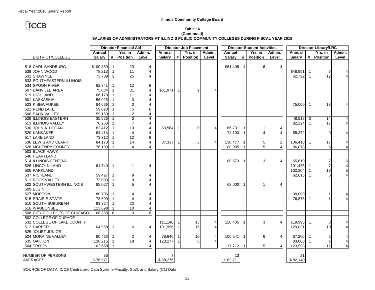## **TCCB**

#### **Table 16 (Continued) SALARIES OF ADMINISTRATORS AT ILLINOIS PUBLIC COMMUNITY COLLEGES DURING FISCAL YEAR 2018**

|                              |               |                | <b>Director Financial Aid</b> |                         |               |                | <b>Director Job Placement</b> |                |               |                | <b>Director Student Activities</b> |                |            |                            | <b>Director Library/LRC</b> |                         |
|------------------------------|---------------|----------------|-------------------------------|-------------------------|---------------|----------------|-------------------------------|----------------|---------------|----------------|------------------------------------|----------------|------------|----------------------------|-----------------------------|-------------------------|
|                              | Annual        |                | $\overline{Y}$ rs. in         | Admin.                  | Annual        |                | $\overline{Y}$ rs. in         | Admin.         | Annual        |                | Yrs. in                            | Admin.         | Annual     |                            | Yrs. in                     | Admin.                  |
| DISTRICT/COLLEGE             | <b>Salary</b> | #              | <b>Position</b>               | Level                   | <b>Salary</b> | #              | <b>Position</b>               | Level          | <b>Salary</b> | #              | <b>Position</b>                    | Level          | Salary     | #                          | <b>Position</b>             | Level                   |
|                              |               |                |                               |                         |               |                |                               |                |               |                |                                    |                |            |                            |                             |                         |
| 518 CARL SANDBURG            | \$100,850     | - 1            | 23                            | 4                       |               |                |                               |                | \$61,408      | $\overline{4}$ | 6                                  | 4              |            |                            |                             |                         |
| 539 JOHN WOOD                | 78,213        |                | 11                            | $\overline{4}$          |               |                |                               |                |               |                |                                    |                | \$48,951   | $\mathbf 1$                | $\overline{7}$              |                         |
| 531 SHAWNEE                  | 73,709        | -1             | 25                            | $\overline{4}$          |               |                |                               |                |               |                |                                    |                | 62,722     | $\mathbf{1}$               | 12                          | 4                       |
| 533 SOUTHEASTERN ILLINOIS    |               |                |                               |                         |               |                |                               |                |               |                |                                    |                |            |                            |                             |                         |
| 534 SPOON RIVER              | 62,841        |                | 12                            | 6                       |               |                |                               |                |               |                |                                    |                |            |                            |                             |                         |
| 507 DANVILLE AREA            | 75,084        | $\overline{1}$ | 31                            | $\overline{4}$          | \$61,971      | $\overline{1}$ | 9                             | $\overline{4}$ |               |                |                                    |                |            |                            |                             |                         |
| 519 HIGHLAND                 | 66,178        |                | 11                            | $\overline{4}$          |               |                |                               |                |               |                |                                    |                |            |                            |                             |                         |
| 501 KASKASKIA                | 56,025        |                | 3                             | $\overline{4}$          |               |                |                               |                |               |                |                                    |                |            |                            |                             |                         |
| 523 KISHWAUKEE               | 84,666        |                | 3                             | $\overline{4}$          |               |                |                               |                |               |                |                                    |                | 75,000     | $\overline{1}$             | 18                          |                         |
| 521 REND LAKE                | 59,020        |                | 5                             | 6                       |               |                |                               |                |               |                |                                    |                |            |                            |                             |                         |
| 506 SAUK VALLEY              | 59,160        |                | $\overline{2}$                | $\overline{4}$          |               |                |                               |                |               |                |                                    |                |            |                            |                             |                         |
| 529 ILLINOIS EASTERN         | 35,526        |                | $\sqrt{3}$                    | $\overline{\mathbf{4}}$ |               |                |                               |                |               |                |                                    |                | 48,818 3   |                            | 14                          | 4                       |
| 513 ILLINOIS VALLEY          | 76,263        |                | 7                             | $\overline{4}$          |               |                |                               |                |               |                |                                    |                | 82,224     | $\mathbf{1}$               | 17                          | $\overline{\mathbf{4}}$ |
| 530 JOHN A. LOGAN            | 82,412        |                | 10                            | $\overline{4}$          | 53,564        |                | 0                             | 4              | 66,731        |                | 11                                 | 4              |            |                            |                             |                         |
| 520 KANKAKEE                 | 64,414        |                |                               | $\overline{4}$          |               |                |                               |                | 74,103        |                | $\overline{A}$                     | 4              | 65,372     | $\overline{\phantom{0}}$ 1 | 9                           |                         |
| 517 LAKE LAND                | 73,312        |                | 12                            | 6                       |               |                |                               |                |               |                |                                    |                |            |                            |                             |                         |
| 536 LEWIS AND CLARK          | 84,170        |                | 14                            | $\overline{4}$          | 87,337        |                | 3                             | $\overline{4}$ | 130,477       |                | 5                                  | 2              | 106,418    | -1                         | 17                          | 4                       |
| 528 MCHENRY COUNTY           | 76,189        | -1             |                               |                         |               |                |                               |                | 88,995        |                | 5                                  | $\overline{4}$ | 96,078     |                            | 6                           | 4                       |
| 503 BLACK HAWK               |               |                |                               |                         |               |                |                               |                |               |                |                                    |                |            |                            |                             |                         |
| 540 HEARTLAND                |               |                |                               |                         |               |                |                               |                |               |                |                                    |                |            |                            |                             |                         |
| 514 ILLINOIS CENTRAL         |               |                |                               |                         |               |                |                               |                | 80,573        |                | 3                                  | 4              | 65,610 1   |                            | 7                           | 6                       |
| 526 LINCOLN LAND             | 61,740        | -1             |                               | 4                       |               |                |                               |                |               |                |                                    |                | 101,476    | $\mathbf{1}$               | $\overline{7}$              | 4                       |
| 505 PARKLAND                 |               |                |                               |                         |               |                |                               |                |               |                |                                    |                | 102,304    |                            | 18                          | 5                       |
| 537 RICHLAND                 | 59,427        |                | 9                             | 4                       |               |                |                               |                |               |                |                                    |                | $62,615$ 1 |                            | 6                           | 4                       |
| 511 ROCK VALLEY              | 73,000        |                | $\Omega$                      | $\overline{4}$          |               |                |                               |                |               |                |                                    |                |            |                            |                             |                         |
| 522 SOUTHWESTERN ILLINOIS    | 85,027        |                | 5                             | $\overline{4}$          |               |                |                               |                | 63,000        |                | $\overline{1}$                     | 4              |            |                            |                             |                         |
| 509 ELGIN                    |               |                |                               |                         |               |                |                               |                |               |                |                                    |                |            |                            |                             |                         |
| 527 MORTON                   | 80,706        |                |                               | $\overline{4}$          |               |                |                               |                |               |                |                                    |                | 90,000 1   |                            | $\mathbf{1}$                | 4                       |
| <b>515 PRAIRIE STATE</b>     | 78,609        |                |                               | $\overline{4}$          |               |                |                               |                |               |                |                                    |                | 76,875     | $\overline{1}$             | $\mathbf{1}$                | 4                       |
| 510 SOUTH SUBURBAN           | 93,324        |                | 22                            | $\overline{4}$          |               |                |                               |                |               |                |                                    |                |            |                            |                             |                         |
| 516 WAUBONSEE                | 113,698       |                | 10                            | $\overline{4}$          |               |                |                               |                |               |                |                                    |                |            |                            |                             |                         |
| 508 CITY COLLEGES OF CHICAGO | 68,358        | - 6            | 3                             | $\overline{6}$          |               |                |                               |                |               |                |                                    |                |            |                            |                             |                         |
| 502 COLLEGE OF DUPAGE        |               |                |                               |                         |               |                |                               |                |               |                |                                    |                |            |                            |                             |                         |
| 532 COLLEGE OF LAKE COUNTY   |               |                |                               |                         | 111,140       |                | 13                            | 4              | 120,485       | -1             | 3                                  | 4              | 119,995    | $\overline{1}$             | 3                           | 4                       |
| 512 HARPER                   | 104,968 1     |                | 6                             | $\overline{4}$          | 101,996       |                | 15                            | 4              |               |                |                                    |                | 129,031    | $\mathbf{1}$               | 10                          | 4                       |
| 525 JOLIET JUNIOR            |               |                |                               |                         |               |                |                               |                |               |                |                                    |                |            |                            |                             |                         |
| 524 MORAINE VALLEY           | 80,433        |                | 2                             | 4                       | 78,646        |                | 10                            | 4              | 100,541       |                | 6                                  | 4              | 87,206     |                            | $\overline{\mathbf{c}}$     | 4                       |
| 535 OAKTON                   | 128,215       |                | 18                            | $\overline{4}$          | 123,277       |                | 8                             | $\overline{4}$ |               |                |                                    |                | 83,000     | $\mathbf 1$                | $\mathbf{1}$                | 4                       |
| 504 TRITON                   | 102,658       |                | $\mathbf 1$                   | $\overline{4}$          |               |                |                               |                | 117,712       |                | 5                                  | 4              | 123,598    |                            | 11                          | $\overline{4}$          |
|                              |               |                |                               |                         |               |                |                               |                |               |                |                                    |                |            |                            |                             |                         |
| NUMBER OF PERSONS            | 35            |                |                               |                         |               |                |                               |                | 13            |                |                                    |                | 21         |                            |                             |                         |
| <b>AVERAGES</b>              | \$76,571      |                |                               |                         | \$88,276      |                |                               |                | \$83,711      |                |                                    |                | \$82,140   |                            |                             |                         |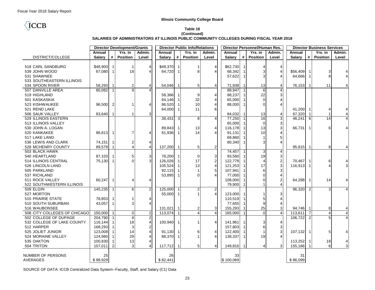## **TCCB**

#### **Table 16 (Continued) SALARIES OF ADMINISTRATORS AT ILLINOIS PUBLIC COMMUNITY COLLEGES DURING FISCAL YEAR 2018**

|                              |               |                | <b>Director Development/Grants</b> |                         |               |                         | <b>Director Public Info/Relations</b> |                  |               |                         | Director Personnel/Human Res. |                |               |                | <b>Director Business Services</b> |                |
|------------------------------|---------------|----------------|------------------------------------|-------------------------|---------------|-------------------------|---------------------------------------|------------------|---------------|-------------------------|-------------------------------|----------------|---------------|----------------|-----------------------------------|----------------|
|                              | Annual        |                | Yrs. in                            | Admin.                  | Annual        |                         | Yrs. in                               | Admin.           | Annual        |                         | Yrs. in                       | Admin.         | Annual        |                | Yrs. in                           | Admin.         |
| DISTRICT/COLLEGE             | <b>Salary</b> | #              | <b>Position</b>                    | Level                   | <b>Salary</b> | #                       | <b>Position</b>                       | Level            | <b>Salary</b> | #                       | <b>Position</b>               | Level          | <b>Salary</b> | #              | <b>Position</b>                   | Level          |
|                              |               |                |                                    |                         |               |                         |                                       |                  |               |                         |                               |                |               |                |                                   |                |
| 518 CARL SANDBURG            | \$48,900      | $\overline{1}$ | 1                                  | $\overline{4}$          | \$49,370      | $\overline{1}$          | -1                                    | $\overline{4}$   | \$62,730      | -1                      | 4                             | 4              |               |                |                                   |                |
| 539 JOHN WOOD                | 67,080        | $\overline{1}$ | 18                                 | $\overline{\Lambda}$    | 64,720        |                         | 8                                     | $\overline{4}$   | 68,342        |                         | 3                             | 4              | \$56,409      |                | 3                                 |                |
| 531 SHAWNEE                  |               |                |                                    |                         |               |                         |                                       |                  | 57,622        | -1                      | 3                             | $\overline{4}$ | 64,666        |                | 8                                 |                |
| 533 SOUTHEASTERN ILLINOIS    |               |                |                                    |                         |               |                         |                                       |                  |               |                         |                               |                |               |                |                                   |                |
| 534 SPOON RIVER              | 58,293        |                | 2                                  | $\overline{4}$          | 54,046        | - 1                     | 5                                     | $\overline{4}$   | 71,938        | -1                      | 13                            | 4              | 76,153        |                | 11                                |                |
| 507 DANVILLE AREA            | 80,082        | $\overline{1}$ |                                    |                         |               |                         |                                       |                  | 89,947        |                         | 6                             | 4              |               |                |                                   |                |
| 519 HIGHLAND                 |               |                |                                    |                         | 58,386        |                         | 9                                     | $\overline{4}$   | 88,237        |                         | 22                            | 3              |               |                |                                   |                |
| 501 KASKASKIA                |               |                |                                    |                         | 64,146        |                         | 32                                    | $\overline{4}$   | 65,000        |                         | $\Omega$                      | $\overline{4}$ |               |                |                                   |                |
| 523 KISHWAUKEE               | 96,500        | $\overline{2}$ |                                    | 4                       | 86,520        |                         | 10                                    | $\overline{4}$   | 88,000        | -1                      | $\Omega$                      | $\overline{4}$ |               |                |                                   |                |
| 521 REND LAKE                |               |                |                                    |                         | 64,000        | -1                      | 11                                    | 6                |               |                         |                               |                | 41,200        |                | $\overline{4}$                    |                |
| 506 SAUK VALLEY              | 83,640        | $\overline{1}$ |                                    | 3                       |               |                         |                                       |                  | 84,032        | $\overline{1}$          | 13                            | 4              | 67,320        |                | $\overline{1}$                    | 4              |
| 529 ILLINOIS EASTERN         |               |                |                                    |                         | 38,431        | 3                       | 8                                     | $\overline{4}$   | 77,250        |                         | 16                            | 3              | 46,241        | 6              | 14                                |                |
| 513 ILLINOIS VALLEY          |               |                |                                    |                         |               |                         |                                       |                  | 65,000        |                         | $\Omega$                      | 3              |               |                |                                   |                |
| 530 JOHN A. LOGAN            |               |                |                                    |                         | 89,843        |                         | 13                                    | $\overline{4}$   | 116,178       |                         | 13                            | 3              | 66,731        |                | 6                                 |                |
| 520 KANKAKEE                 | 86,813        | $\overline{1}$ |                                    | 4                       | 81,936        | -1                      | 14                                    | $\overline{4}$   | 91,131        |                         | 10                            | 4              |               |                |                                   |                |
| 517 LAKE LAND                |               |                |                                    |                         |               |                         |                                       |                  | 69,860        |                         |                               | 5              |               |                |                                   |                |
| 536 LEWIS AND CLARK          | 74,151        | -1             | 2                                  | 4                       |               |                         |                                       |                  | 80,340        |                         | 3                             | $\overline{4}$ |               |                |                                   |                |
| 528 MCHENRY COUNTY           | 89,579        |                |                                    | $\overline{4}$          | 137,200       | $\overline{1}$          | 5                                     | $\boldsymbol{2}$ |               |                         |                               |                | 95,815        |                | 8                                 |                |
| 503 BLACK HAWK               |               |                |                                    |                         |               |                         |                                       |                  | 74,457        |                         | 3                             | 4              |               |                |                                   |                |
| 540 HEARTLAND                | 87,103        |                | 5                                  | 3                       | 78,200        |                         | $\Omega$                              | 3                | 93,560        |                         | 19                            | $\mathsf 3$    |               |                |                                   |                |
| 514 ILLINOIS CENTRAL         | 75,130        | -1             |                                    | 3                       | 126,026       |                         | 17                                    | $\overline{c}$   | 122,778 1     |                         | $\overline{4}$                | $\overline{c}$ | 70,467        |                | 6                                 | 4              |
| 526 LINCOLN LAND             |               |                |                                    |                         | 105,524       |                         | 13                                    | $\overline{4}$   | 121,253       |                         | 17                            | 3              | 116.913       |                | Δ                                 | 3              |
| 505 PARKLAND                 |               |                |                                    |                         | 92,115        |                         | $\overline{1}$                        | 5                | 107,941       |                         | 6                             | 3              |               |                |                                   |                |
| 537 RICHLAND                 |               |                |                                    |                         | 53,895        |                         | 0                                     | $\overline{4}$   | 77,000        |                         | O                             | $\overline{4}$ |               |                |                                   |                |
| 511 ROCK VALLEY              | 60,247        |                |                                    | $\overline{4}$          |               |                         |                                       |                  | 108,000       |                         |                               | 2              | 64,288        |                | 14                                |                |
| 522 SOUTHWESTERN ILLINOIS    |               |                |                                    |                         |               |                         |                                       |                  | 79,900        |                         |                               | $\overline{4}$ |               |                |                                   |                |
| 509 ELGIN                    | 145,235       | $\overline{1}$ | 6                                  | $\overline{2}$          | 125,000       |                         | $\overline{2}$                        | $\boldsymbol{2}$ |               |                         |                               |                | 96,320        | $\overline{2}$ | 3                                 |                |
| 527 MORTON                   |               |                |                                    |                         | 55,000        |                         |                                       | $\overline{4}$   | 123,000       |                         |                               | 3              |               |                |                                   |                |
| 515 PRAIRIE STATE            | 78,853        |                |                                    | 4                       |               |                         |                                       |                  | 110,519       |                         | 5                             | $\overline{4}$ |               |                |                                   |                |
| 510 SOUTH SUBURBAN           | 43,057        |                |                                    | $\overline{4}$          |               |                         |                                       |                  | 77,655        |                         | 9                             | $\overline{4}$ |               |                |                                   |                |
| 516 WAUBONSEE                |               |                |                                    |                         | 131,021       |                         | 2                                     | 3                | 155,293       |                         | 25                            | 3              | 94,746        |                | 8                                 |                |
| 508 CITY COLLEGES OF CHICAGO | 150,000       | $\overline{1}$ | $\Omega$                           | $\boldsymbol{2}$        | 113,074 1     |                         | $\overline{4}$                        | $\overline{4}$   | 165,000       | $\overline{\mathbf{1}}$ | $\Omega$                      | $\overline{4}$ | 113.611       | 7              | $\overline{4}$                    | $\overline{4}$ |
| 502 COLLEGE OF DUPAGE        | 204,790       | $\overline{1}$ | 8                                  | $\overline{2}$          |               |                         |                                       |                  |               |                         |                               |                | 106,722       | $\overline{2}$ | 5                                 |                |
| 532 COLLEGE OF LAKE COUNTY   | 116,144       |                | 18                                 | $\overline{\mathbf{4}}$ | 100,940 1     |                         | $\mathbf{1}$                          | $\overline{4}$   | 141,961       |                         | 3                             | 4              |               |                |                                   |                |
| 512 HARPER                   | 168,293       |                | 3                                  | $\overline{2}$          |               |                         |                                       |                  | 157,803       |                         | 6                             | 3              |               |                |                                   |                |
| 525 JOLIET JUNIOR            | 123,008       |                | 14                                 | $\overline{4}$          | $91,130$ 1    |                         | 6                                     | $\overline{4}$   | 122,400       |                         |                               | 3              | 107,132       | -1             | 5                                 |                |
| 524 MORAINE VALLEY           | 124,980       |                | 29                                 | $\boldsymbol{\Delta}$   | 88,370        | $\overline{\mathbf{1}}$ |                                       | $\overline{4}$   | 138,337       | $\overline{\mathbf{1}}$ | 19                            |                |               |                |                                   |                |
| 535 OAKTON                   | 100,830       |                | 13                                 | 4                       |               |                         |                                       |                  |               |                         |                               |                | 113,252       |                | 18                                | 4              |
| 504 TRITON                   | 107,011       | $\mathcal{P}$  | $\mathbf{3}$                       | $\overline{4}$          | 117,712       |                         | 5                                     | $\overline{4}$   | 149,816       | -1                      | 4                             | 3              | 155,166       |                | 6                                 | $\overline{3}$ |
|                              |               |                |                                    |                         |               |                         |                                       |                  |               |                         |                               |                |               |                |                                   |                |
| NUMBER OF PERSONS            | 25            |                |                                    |                         | 26            |                         |                                       |                  | 33            |                         |                               |                | 31            |                |                                   |                |
| <b>AVERAGES</b>              | \$98,929      |                |                                    |                         | \$82,441      |                         |                                       |                  | \$100,069     |                         |                               |                | \$86,099      |                |                                   |                |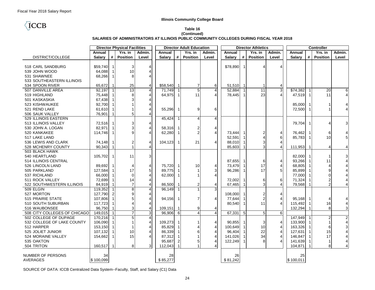## **TCCB**

#### **Table 16 (Continued) SALARIES OF ADMINISTRATORS AT ILLINOIS PUBLIC COMMUNITY COLLEGES DURING FISCAL YEAR 2018**

| Yrs. in<br>Yrs. in<br>Yrs. in<br>Annual<br>Admin.<br>Annual<br>Yrs. in<br>Admin.<br>Annual<br>Admin.<br>Annual<br><b>Position</b><br><b>Salarv</b><br>#<br><b>Salary</b><br>#<br><b>Position</b><br>#<br><b>Position</b><br><b>Position</b><br>DISTRICT/COLLEGE<br>Level<br><b>Salary</b><br>Level<br><b>Salary</b><br>#<br>Level | Admin.<br>Level           |
|-----------------------------------------------------------------------------------------------------------------------------------------------------------------------------------------------------------------------------------------------------------------------------------------------------------------------------------|---------------------------|
|                                                                                                                                                                                                                                                                                                                                   |                           |
|                                                                                                                                                                                                                                                                                                                                   |                           |
|                                                                                                                                                                                                                                                                                                                                   |                           |
| \$78,890<br>518 CARL SANDBURG<br>\$59,740<br>3<br>$\overline{4}$<br>$\overline{1}$<br>$\overline{4}$<br>-1<br>Δ                                                                                                                                                                                                                   |                           |
| 64,088<br>10<br>539 JOHN WOOD<br>$\overline{4}$                                                                                                                                                                                                                                                                                   |                           |
| 531 SHAWNEE<br>68,266<br>8<br>4                                                                                                                                                                                                                                                                                                   |                           |
| 533 SOUTHEASTERN ILLINOIS                                                                                                                                                                                                                                                                                                         |                           |
| 65.672<br>51.510 1<br>534 SPOON RIVER<br>25<br>$\overline{4}$<br>\$58,540<br>$\overline{7}$<br>6<br>$\mathbf 1$<br>-1<br>4                                                                                                                                                                                                        |                           |
| 3<br>$\overline{5}$<br>507 DANVILLE AREA<br>92,197<br>$\overline{13}$<br>$\overline{4}$<br>71,749<br>$\overline{4}$<br>52,884<br>$\overline{11}$<br>\$74,382<br>$\overline{20}$<br>$\overline{\mathbf{1}}$                                                                                                                        | 6                         |
| $\overline{4}$<br>519 HIGHLAND<br>75,448<br>64,975<br>11<br>23<br>$\overline{4}$<br>47,519<br>11<br>8<br>$\overline{4}$<br>78,445<br>$\overline{1}$<br>-1                                                                                                                                                                         | $\overline{4}$            |
| 67,438<br>501 KASKASKIA<br>$\overline{4}$                                                                                                                                                                                                                                                                                         |                           |
| 92,700<br>523 KISHWAUKEE<br>$\overline{4}$<br>85,000                                                                                                                                                                                                                                                                              |                           |
| 521 REND LAKE<br>61,610<br>55,296<br>9<br>6<br>72,500<br>$\overline{4}$<br>-1                                                                                                                                                                                                                                                     |                           |
| 76,901<br>506 SAUK VALLEY<br>5<br>4                                                                                                                                                                                                                                                                                               |                           |
| 529 ILLINOIS EASTERN<br>$\overline{4}$<br>45,424<br>4<br>$\overline{\mathbf{1}}$                                                                                                                                                                                                                                                  |                           |
| 513 ILLINOIS VALLEY<br>72,516<br>3<br>79,704<br>$\overline{4}$<br>$\overline{4}$<br>-1                                                                                                                                                                                                                                            | 3                         |
| 82,971<br>530 JOHN A. LOGAN<br>$\overline{4}$<br>58,316<br>2<br>$\overline{4}$                                                                                                                                                                                                                                                    |                           |
| $\overline{2}$<br>$\overline{4}$<br>114,746<br>62,280<br>73,444<br>76,462<br>6<br>520 KANKAKEE<br>$\boldsymbol{\Delta}$<br>2<br>4                                                                                                                                                                                                 |                           |
| 10<br>517 LAKE LAND<br>52,591<br>6<br>85,783                                                                                                                                                                                                                                                                                      | 5                         |
| 21<br>536 LEWIS AND CLARK<br>74,148<br>104,123<br>$\overline{\mathbf{A}}$<br>88,010<br>3<br>$\overline{4}$<br>2<br>$\overline{4}$<br>-1<br>-1                                                                                                                                                                                     |                           |
| 90,343<br>528 MCHENRY COUNTY<br>85,603<br>3<br>$\overline{4}$<br>111,953<br>4<br>4<br>-1                                                                                                                                                                                                                                          |                           |
| 503 BLACK HAWK                                                                                                                                                                                                                                                                                                                    |                           |
| 11<br>3<br>540 HEARTLAND<br>105.702<br>82,000<br>-1                                                                                                                                                                                                                                                                               | 3                         |
| 514 ILLINOIS CENTRAL<br>87,655<br>93,266<br>11<br>6<br>$\overline{4}$                                                                                                                                                                                                                                                             | $\overline{4}$            |
| 17<br>89,692<br>73,479<br>$\overline{4}$<br>68,805<br>526 LINCOLN LAND<br>4<br>75,720<br>10<br>4<br>$\overline{\mathbf{1}}$<br>$\overline{4}$<br>$\overline{4}$                                                                                                                                                                   |                           |
| $\ensuremath{\mathsf{3}}$<br>505 PARKLAND<br>127,584<br>17<br>$\,$ 5 $\,$<br>89,775<br>96,286<br>17<br>5<br>85,899<br>9<br>-1                                                                                                                                                                                                     |                           |
| 66,000<br>537 RICHLAND<br>$\Omega$<br>62,000<br>$\overline{4}$<br>77,000<br>$\Omega$<br>$\boldsymbol{\Delta}$<br>-1                                                                                                                                                                                                               |                           |
| 72,699<br>14<br>6<br>71,324<br>$\overline{2}$<br>511 ROCK VALLEY<br>$\overline{4}$<br>72,002<br>6<br>-1                                                                                                                                                                                                                           |                           |
| $\overline{2}$<br>84,919<br>$\mathbf{3}$<br>$\overline{7}$<br>86,500<br>67,465<br>79,568<br>522 SOUTHWESTERN ILLINOIS<br>2<br>4<br>$\overline{4}$<br>$\overline{4}$<br>$\overline{1}$                                                                                                                                             | 4                         |
| 3<br>509 ELGIN<br>119,352<br>$\overline{4}$<br>96,149<br>$\overline{1}$<br>$\overline{\mathbf{1}}$                                                                                                                                                                                                                                |                           |
| 527 MORTON<br>127,790<br>108,000<br>$\overline{c}$<br>$\overline{4}$<br>$\overline{2}$<br>$\overline{4}$                                                                                                                                                                                                                          |                           |
| 515 PRAIRIE STATE<br>107,806<br>$\overline{4}$<br>77,644<br>$\overline{2}$<br>94,156<br>$\overline{4}$<br>95,168<br>$\overline{4}$<br>-1<br>$\overline{4}$                                                                                                                                                                        |                           |
| 11<br>$\overline{4}$<br>16<br>117,723<br>$\overline{4}$<br>80,540<br>115,492<br>510 SOUTH SUBURBAN<br>-1                                                                                                                                                                                                                          | 4                         |
| 96,750<br>8<br>109,151<br>132,294<br>516 WAUBONSEE<br>3<br>$\overline{4}$<br>9<br>$\overline{4}$                                                                                                                                                                                                                                  | 3                         |
| 3<br>$\overline{4}$<br>508 CITY COLLEGES OF CHICAGO<br>149,015<br>96,906<br>6<br>4<br>67,331<br>6<br>5<br>$5\phantom{.0}$<br>$\overline{1}$                                                                                                                                                                                       |                           |
| $\overline{4}$<br>502 COLLEGE OF DUPAGE<br>170,216<br>147,949<br>$\overline{2}$<br>-1                                                                                                                                                                                                                                             | $\overline{2}$            |
| 532 COLLEGE OF LAKE COUNTY<br>$\overline{4}$<br>109,273<br>$\overline{4}$<br>90,855<br>133,900<br>$\overline{1}$<br>106,090<br>3<br>$\overline{4}$                                                                                                                                                                                | $\overline{\mathbf{4}}$   |
| $\overline{\mathbf{4}}$<br>512 HARPER<br>153,150<br>100,649<br>10<br>4<br>163,326<br>$\overline{4}$<br>85,829<br>6                                                                                                                                                                                                                | $\ensuremath{\mathsf{3}}$ |
| 15<br>$\overline{4}$<br>22<br>$\overline{4}$<br>525 JOLIET JUNIOR<br>107,132<br>10<br>86,339<br>96,404<br>127,631<br>6<br>$\overline{4}$                                                                                                                                                                                          | $\overline{4}$            |
| $\overline{\mathbf{4}}$<br>17<br>524 MORAINE VALLEY<br>154,662<br>15<br>87,312<br>141,026<br>34<br>$\overline{4}$<br>146,847<br>$\boldsymbol{\Delta}$                                                                                                                                                                             | 4                         |
| $\pmb{4}$<br>535 OAKTON<br>95,687<br>122,249<br>$\mathsf{B}$<br>$\overline{4}$<br>141,639<br>$\mathbf{1}$<br>2<br>5<br>-1                                                                                                                                                                                                         |                           |
| $\overline{1}$<br>$\overline{4}$<br>504 TRITON<br>160,517<br>8<br>3 <sup>1</sup><br>112,043<br>104,871<br>8<br>1                                                                                                                                                                                                                  | 4                         |
|                                                                                                                                                                                                                                                                                                                                   |                           |
| NUMBER OF PERSONS<br>34<br>26<br>28<br>25                                                                                                                                                                                                                                                                                         |                           |
| \$100,099<br>\$85,277<br>\$81,242<br><b>AVERAGES</b><br>\$100,011                                                                                                                                                                                                                                                                 |                           |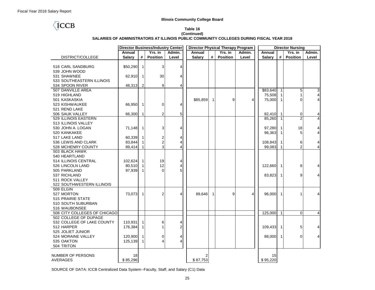## **TCCB**

| Table 16                                                                                 |
|------------------------------------------------------------------------------------------|
| (Continued)                                                                              |
| SALARIES OF ADMINISTRATORS AT ILLINOIS PUBLIC COMMUNITY COLLEGES DURING FISCAL YEAR 2018 |

|                                                   | <b>Director Business/Industry Center</b><br><b>Director Physical Therapy Program</b> |                              | <b>Director Nursing</b> |        |               |                |                 |        |                |              |                 |        |
|---------------------------------------------------|--------------------------------------------------------------------------------------|------------------------------|-------------------------|--------|---------------|----------------|-----------------|--------|----------------|--------------|-----------------|--------|
|                                                   | Annual                                                                               |                              | Yrs. in                 | Admin. | Annual        |                | Yrs. in         | Admin. | Annual         |              | Yrs. in         | Admin. |
| DISTRICT/COLLEGE                                  | <b>Salary</b>                                                                        | #                            | <b>Position</b>         | Level  | <b>Salary</b> | #              | <b>Position</b> | Level  | <b>Salary</b>  | #            | <b>Position</b> | Level  |
| 518 CARL SANDBURG<br>539 JOHN WOOD<br>531 SHAWNEE | \$50,290<br>62,910                                                                   | $\mathbf{1}$<br>$\mathbf{1}$ | 3<br>30                 | 4<br>4 |               |                |                 |        |                |              |                 |        |
| 533 SOUTHEASTERN ILLINOIS<br>534 SPOON RIVER      | 48,313                                                                               | $\overline{2}$               | 9                       | 4      |               |                |                 |        |                |              |                 |        |
| 507 DANVILLE AREA                                 |                                                                                      |                              |                         |        |               |                |                 |        | \$83,640       | $\mathbf{1}$ | 5               | 3      |
| 519 HIGHLAND                                      |                                                                                      |                              |                         |        |               |                |                 |        | 75,508         | -1           | $\mathbf{1}$    |        |
| 501 KASKASKIA                                     |                                                                                      |                              |                         |        | \$85,859      | $\mathbf{1}$   | 9               | 4      | 75,000         | $\mathbf{1}$ | $\Omega$        |        |
| 523 KISHWAUKEE                                    | 66,950                                                                               | 1                            | 0                       | 4      |               |                |                 |        |                |              |                 |        |
| 521 REND LAKE                                     |                                                                                      |                              |                         |        |               |                |                 |        |                |              |                 |        |
| 506 SAUK VALLEY                                   | 66,300                                                                               | 1                            | $\overline{2}$          | 5      |               |                |                 |        | 82,410         | $\mathbf{1}$ | 0               |        |
| 529 ILLINOIS EASTERN                              |                                                                                      |                              |                         |        |               |                |                 |        | 85,260         | $\mathbf 1$  | $\overline{2}$  |        |
| 513 ILLINOIS VALLEY                               |                                                                                      |                              |                         |        |               |                |                 |        |                |              |                 |        |
| 530 JOHN A. LOGAN                                 | 71,148                                                                               | 1                            | 3                       | 4      |               |                |                 |        | 97,280         | $\mathbf 1$  | 18              |        |
| 520 KANKAKEE                                      |                                                                                      |                              |                         |        |               |                |                 |        | 96,363         | 1            | 5               |        |
| 517 LAKE LAND                                     | 60,339                                                                               | 1                            | $\overline{\mathbf{c}}$ | 4      |               |                |                 |        |                |              |                 |        |
| 536 LEWIS AND CLARK                               | 83,844                                                                               |                              | $\overline{c}$          | 4      |               |                |                 |        | 108,843        | 1            | 6               |        |
| 528 MCHENRY COUNTY                                | 89,414                                                                               | $\mathbf{1}$                 | 3                       | 4      |               |                |                 |        | 99,083         | $\mathbf{1}$ | $\overline{2}$  |        |
| 503 BLACK HAWK                                    |                                                                                      |                              |                         |        |               |                |                 |        |                |              |                 |        |
| 540 HEARTLAND                                     |                                                                                      |                              |                         |        |               |                |                 |        |                |              |                 |        |
| 514 ILLINOIS CENTRAL                              | 102,624                                                                              | $\mathbf{1}$                 | 19                      | 4      |               |                |                 |        |                |              |                 |        |
| 526 LINCOLN LAND                                  | 80,510                                                                               | 1                            | 12                      | 4      |               |                |                 |        | 122,660        | $\mathbf{1}$ | 8               |        |
| 505 PARKLAND                                      | 97,939                                                                               | 1                            | $\overline{0}$          | 5      |               |                |                 |        |                |              |                 |        |
| 537 RICHLAND                                      |                                                                                      |                              |                         |        |               |                |                 |        | 83,823         | $\mathbf{1}$ | 9               |        |
| 511 ROCK VALLEY                                   |                                                                                      |                              |                         |        |               |                |                 |        |                |              |                 |        |
| 522 SOUTHWESTERN ILLINOIS<br>509 ELGIN            |                                                                                      |                              |                         |        |               |                |                 |        |                |              |                 |        |
| 527 MORTON                                        | 73,073                                                                               | $\mathbf{1}$                 | $\overline{2}$          | 4      | 89,646        | $\overline{1}$ | 9               | 4      | 96,000         | $\mathbf{1}$ | 1               |        |
| 515 PRAIRIE STATE                                 |                                                                                      |                              |                         |        |               |                |                 |        |                |              |                 |        |
| 510 SOUTH SUBURBAN                                |                                                                                      |                              |                         |        |               |                |                 |        |                |              |                 |        |
| 516 WAUBONSEE                                     |                                                                                      |                              |                         |        |               |                |                 |        |                |              |                 |        |
| 508 CITY COLLEGES OF CHICAGO                      |                                                                                      |                              |                         |        |               |                |                 |        | 125,000        | $\mathbf{1}$ | $\Omega$        | 4      |
| 502 COLLEGE OF DUPAGE                             |                                                                                      |                              |                         |        |               |                |                 |        |                |              |                 |        |
| 532 COLLEGE OF LAKE COUNTY                        | 110,931                                                                              | $\mathbf{1}$                 | 6                       | 4      |               |                |                 |        |                |              |                 |        |
| 512 HARPER                                        | 176,384                                                                              | 1                            | 1                       | 2      |               |                |                 |        | 109,433        | $\mathbf{1}$ | 5               |        |
| 525 JOLIET JUNIOR                                 |                                                                                      |                              |                         |        |               |                |                 |        |                |              |                 |        |
| 524 MORAINE VALLEY                                | 120,900                                                                              | $\mathbf{1}$                 | 0                       | 4      |               |                |                 |        | 88,000         | $\mathbf{1}$ | $\Omega$        |        |
| 535 OAKTON                                        | 125,139                                                                              | 1                            | 4                       | 4      |               |                |                 |        |                |              |                 |        |
| 504 TRITON                                        |                                                                                      |                              |                         |        |               |                |                 |        |                |              |                 |        |
| NUMBER OF PERSONS<br>AVERAGES                     | 18<br>\$85,296                                                                       |                              |                         |        | 2<br>\$87,753 |                |                 |        | 15<br>\$95,220 |              |                 |        |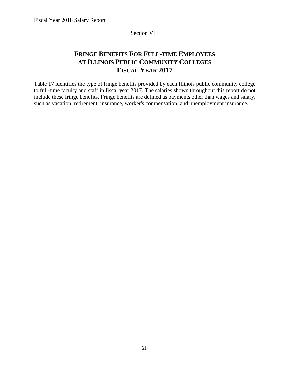Section VIII

## <span id="page-29-0"></span>**FRINGE BENEFITS FOR FULL-TIME EMPLOYEES AT ILLINOIS PUBLIC COMMUNITY COLLEGES FISCAL YEAR 2017**

Table 17 identifies the type of fringe benefits provided by each Illinois public community college to full-time faculty and staff in fiscal year 2017. The salaries shown throughout this report do not include these fringe benefits. Fringe benefits are defined as payments other than wages and salary, such as vacation, retirement, insurance, worker's compensation, and unemployment insurance.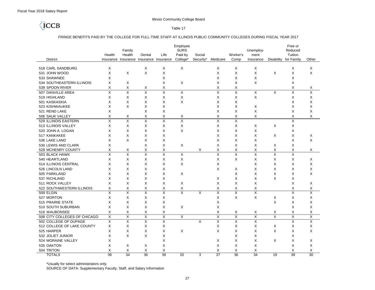## **TCCB**

Table 17

#### FRINGE BENEFITS PAID BY THE COLLEGE FOR FULL-TIME STAFF AT ILLINOIS PUBLIC COMMUNITY COLLEGES DURING FISCAL YEAR 2017

|                              |                         |                               |                         |                         | Employee                |           |                         |                         |                         |                         | Free or                 |                         |
|------------------------------|-------------------------|-------------------------------|-------------------------|-------------------------|-------------------------|-----------|-------------------------|-------------------------|-------------------------|-------------------------|-------------------------|-------------------------|
|                              |                         | Family                        |                         |                         | <b>SURS</b>             |           |                         |                         | Unemploy-               |                         | Reduced                 |                         |
|                              | Health                  | Health                        | Dental                  | Life                    | Paid by                 | Social    |                         | Worker's                | ment                    |                         | Tuition                 |                         |
| <b>District</b>              | Insurance               | Insurance Insurance Insurance |                         |                         | College*                | Security* | Medicare                | Comp                    | Insurance               | Disability              | for Family              | Other                   |
| 518 CARL SANDBURG            | X                       |                               | X                       | X                       | X                       |           | X                       | X                       | X                       |                         | X                       | X                       |
| 531 JOHN WOOD                | X                       | X                             | X                       | X                       |                         |           | X                       | X                       | X                       | X                       | $\times$                | X                       |
| 533 SHAWNEE                  | X                       |                               |                         | X                       |                         |           | X                       | X                       | X                       |                         | X                       |                         |
| 534 SOUTHEASTERN ILLINOIS    | X                       | X                             |                         | X                       | X                       |           | X                       | X                       | X                       |                         | X                       |                         |
| 539 SPOON RIVER              | X                       | X                             | Χ                       | Χ                       |                         |           | Х                       | X                       |                         |                         | X                       | Х                       |
| 507 DANVILLE AREA            | X                       | X                             | X                       | X                       | X                       |           | X                       | X                       | X                       | X                       | X                       | X                       |
| 519 HIGHLAND                 | X                       | X                             | X                       | X                       | Χ                       |           | X                       | X                       | X                       |                         | X                       | Χ                       |
| 501 KASKASKIA                | X                       | X                             | X                       | X                       | X                       |           | X                       | $\times$                |                         |                         | X                       | X                       |
| 523 KISHWAUKEE               | X                       | X                             | X                       | X                       |                         |           | X                       | X                       | X                       |                         | X                       | X                       |
| 521 REND LAKE                | X                       |                               | $\times$                | $\times$                |                         |           | X                       | $\times$                | X                       |                         | $\times$                | X                       |
| 506 SAUK VALLEY              | Х                       | X                             | Χ                       | Χ                       | Х                       |           | Х                       | X                       | X                       |                         | Χ                       | Χ                       |
| 529 ILLINOIS EASTERN         | X                       | Χ                             | X                       | X                       | Χ                       |           | X                       | X                       |                         |                         | X                       |                         |
| 513 ILLINOIS VALLEY          | X                       | Χ                             | X                       | Χ                       | X                       |           | X                       | X                       | X                       | X                       | X                       |                         |
| 520 JOHN A. LOGAN            | X                       | X                             | X                       | X                       | X                       |           | X                       | X                       | X                       |                         | X                       |                         |
| 517 KANKAKEE                 | X                       | X                             | X                       | X                       |                         |           | X                       | X                       | X                       | X                       | X                       | X                       |
| 536 LAKE LAND                | X                       | Χ                             | X                       | X                       |                         |           | X                       | X                       | X                       |                         | X                       | X                       |
| 530 LEWIS AND CLARK          | X                       |                               | X                       | X                       | X                       |           | X                       | X                       | Χ                       | X                       | X                       |                         |
| 528 MCHENRY COUNTY           | X                       | Х                             | X                       | Χ                       |                         | X         | Χ                       | X                       | Χ                       | X                       | X                       | X                       |
| 503 BLACK HAWK               | X                       | $\overline{X}$                | $\overline{\mathsf{x}}$ | $\overline{\mathsf{x}}$ | X                       |           | $\overline{\mathsf{x}}$ | $\overline{X}$          | X                       | $\overline{X}$          | $\times$                |                         |
| 540 HEARTLAND                | X                       | X                             | X                       | X                       | X                       |           | Х                       | X                       | X                       | X                       | X                       | Х                       |
| 514 ILLINOIS CENTRAL         | X                       | X                             | X                       | X                       | X                       |           | X                       |                         | X                       | X                       | X                       | X                       |
| 526 LINCOLN LAND             | X                       | Χ                             | X                       | X                       |                         |           | X                       | X                       | X                       | X                       | X                       | Χ                       |
| 505 PARKLAND                 | X                       | X                             | X                       | X                       | X                       |           |                         | X                       | Χ                       | X                       | X                       | X                       |
| 537 RICHLAND                 | X                       | X                             | X                       | X                       |                         |           | X                       | X                       | X                       | X                       | X                       |                         |
| 511 ROCK VALLEY              | X                       | X                             | X                       | X                       | X                       |           | X                       | X                       | X                       |                         | X                       | X                       |
| 522 SOUTHWESTERN ILLINOIS    | X                       | X                             | X                       | Χ                       | Χ                       |           | X                       | X                       | Χ                       |                         | X                       | X                       |
| 509 ELGIN                    | X                       | X                             | X                       | $\overline{\mathsf{x}}$ | $\overline{\mathsf{x}}$ | X         | X                       | X                       | Χ                       |                         | X                       | Χ                       |
| 527 MORTON                   | X                       | X                             | X                       | X                       |                         |           | X                       | X                       | X                       | X                       | X                       | X                       |
| 515 PRAIRIE STATE            | Χ                       | X                             | X                       | X                       |                         |           | X                       |                         |                         | X                       | X                       | X                       |
| 510 SOUTH SUBURBAN           | X                       | X                             | X                       | X                       | X                       |           | Χ                       |                         |                         |                         | X                       | Χ                       |
| 516 WAUBONSEE                | X                       | Χ                             | X                       | Χ                       |                         |           | X                       | Х                       | Х                       | X                       | X                       | X                       |
| 508 CITY COLLEGES OF CHICAGO | $\overline{\mathsf{x}}$ | $\overline{X}$                | $\overline{X}$          | $\overline{\mathsf{x}}$ | X                       |           | $\overline{X}$          | $\overline{X}$          | $\overline{\mathsf{x}}$ | $\overline{\mathsf{x}}$ | $\overline{\mathsf{x}}$ | $\overline{\mathsf{x}}$ |
| 502 COLLEGE OF DUPAGE        | $\overline{\mathsf{x}}$ | X                             | $\overline{\mathsf{x}}$ | X                       |                         | X         | $\overline{\mathsf{x}}$ | $\overline{\mathsf{x}}$ | $\overline{\mathsf{x}}$ |                         | $\overline{\mathsf{x}}$ | X                       |
| 512 COLLEGE OF LAKE COUNTY   | X                       | X                             | X                       | Χ                       |                         |           | X                       | X                       | X                       | Х                       | X                       | X                       |
| 525 HARPER                   | X                       | X                             | X                       | Χ                       | X                       |           | X                       | X                       | X                       | X                       | X                       | X                       |
| 532 JOLIET JUNIOR            | X                       | X                             | X                       | Χ                       |                         |           |                         | X                       | Χ                       |                         | X                       |                         |
| 524 MORAINE VALLEY           | X                       |                               |                         | Χ                       |                         |           | Х                       | X                       | X                       | X                       | X                       | X                       |
| 535 OAKTON                   | X                       | X                             | X                       | X                       |                         |           | X                       | X                       | X                       |                         | X                       | X                       |
| 504 TRITON                   | X                       | X                             | Χ                       | X                       |                         |           | X                       | X                       | X                       |                         | X                       | X                       |
| <b>TOTALS</b>                | $\overline{39}$         | $\overline{34}$               | 36                      | $\overline{39}$         | 20                      | 3         | $\overline{37}$         | $\overline{36}$         | 34                      | 19                      | $\overline{39}$         | $\overline{30}$         |

\*Usually for select administrators only.

SOURCE OF DATA: Supplementary Faculty, Staff, and Salary Information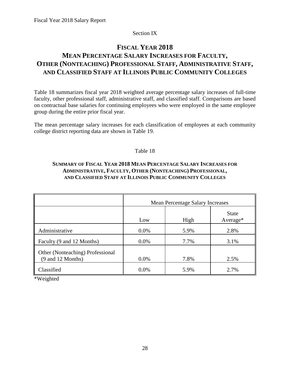## Section IX

## <span id="page-31-0"></span>**FISCAL YEAR 2018 MEAN PERCENTAGE SALARY INCREASES FOR FACULTY, OTHER (NONTEACHING) PROFESSIONAL STAFF, ADMINISTRATIVE STAFF, AND CLASSIFIED STAFF AT ILLINOIS PUBLIC COMMUNITY COLLEGES**

Table 18 summarizes fiscal year 2018 weighted average percentage salary increases of full-time faculty, other professional staff, administrative staff, and classified staff. Comparisons are based on contractual base salaries for continuing employees who were employed in the same employee group during the entire prior fiscal year.

The mean percentage salary increases for each classification of employees at each community college district reporting data are shown in Table 19.

## Table 18

## **SUMMARY OF FISCAL YEAR 2018 MEAN PERCENTAGE SALARY INCREASES FOR ADMINISTRATIVE, FACULTY, OTHER (NONTEACHING) PROFESSIONAL, AND CLASSIFIED STAFF AT ILLINOIS PUBLIC COMMUNITY COLLEGES**

|                                                       | <b>Mean Percentage Salary Increases</b> |      |                            |  |  |  |
|-------------------------------------------------------|-----------------------------------------|------|----------------------------|--|--|--|
|                                                       | Low                                     | High | <b>State</b><br>$Average*$ |  |  |  |
| Administrative                                        | $0.0\%$                                 | 5.9% | 2.8%                       |  |  |  |
| Faculty (9 and 12 Months)                             | $0.0\%$                                 | 7.7% | 3.1%                       |  |  |  |
| Other (Nonteaching) Professional<br>(9 and 12 Months) | $0.0\%$                                 | 7.8% | 2.5%                       |  |  |  |
| Classified                                            | $0.0\%$                                 | 5.9% | 2.7%                       |  |  |  |

\*Weighted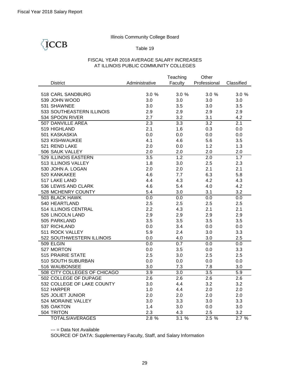## ICCB

## Table 19

## FISCAL YEAR 2018 AVERAGE SALARY INCREASES AT ILLINOIS PUBLIC COMMUNITY COLLEGES

|                              |                  | Teaching         | Other            |            |
|------------------------------|------------------|------------------|------------------|------------|
| <b>District</b>              | Administrative   | Faculty          | Professional     | Classified |
|                              |                  |                  |                  |            |
| 518 CARL SANDBURG            | 3.0%             | 3.0%             | 3.0%             | 3.0%       |
| 539 JOHN WOOD                | 3.0              | 3.0              | 3.0              | 3.0        |
| 531 SHAWNEE                  | 3.0              | 3.5              | 3.0              | 3.5        |
| 533 SOUTHEASTERN ILLINOIS    | 2.9              | 2.9              | 2.9              | 2.9        |
| 534 SPOON RIVER              | 2.7              | 3.2              | 3.1              | 4.2        |
| 507 DANVILLE AREA            | 2.3              | $\overline{3.3}$ | $\overline{3.2}$ | 2.1        |
| 519 HIGHLAND                 | 2.1              | 1.6              | 0.3              | 0.0        |
| 501 KASKASKIA                | 0.0              | 0.0              | 0.0              | 0.0        |
| 523 KISHWAUKEE               | 4.1              | 4.6              | 5.6              | 3.5        |
| 521 REND LAKE                | 2.0              | 0.0              | 1.2              | 1.3        |
| 506 SAUK VALLEY              | 2.0              | 2.0              | 2.0              | 2.0        |
| <b>529 ILLINOIS EASTERN</b>  | $\overline{3.5}$ | 1.2              | 2.0              | 1.7        |
| 513 ILLINOIS VALLEY          | 1.8              | 3.0              | 2.5              | 2.3        |
| 530 JOHN A. LOGAN            | 2.0              | 2.0              | 2.1              | 2.1        |
| 520 KANKAKEE                 | 4.6              | 7.7              | 6.3              | 5.8        |
| 517 LAKE LAND                | 4.4              | 4.3              | 4.2              | 4.3        |
| 536 LEWIS AND CLARK          | 4.6              | 5.4              | 4.0              | 4.2        |
| 528 MCHENRY COUNTY           | 5.4              | 3.0              | 3.1              | 3.2        |
| <b>503 BLACK HAWK</b>        | 0.0              | 0.0              | 0.0              | 0.0        |
| 540 HEARTLAND                | 2.5              | 2.5              | 2.5              | 2.5        |
| 514 ILLINOIS CENTRAL         | 2.2              | 4.3              | 2.1              | 2.1        |
| 526 LINCOLN LAND             | 2.9              | 2.9              | 2.9              | 2.9        |
| 505 PARKLAND                 | 3.5              | 3.5              | 3.5              | 3.5        |
| 537 RICHLAND                 | 0.0              | 3.4              | 0.0              | 0.0        |
| 511 ROCK VALLEY              | 5.9              | 2.4              | 3.0              | 3.3        |
| 522 SOUTHWESTERN ILLINOIS    | 0.0              | 4.0              | 3.0              | 2.5        |
| 509 ELGIN                    | 0.0              | 0.7              | 0.0              | 0.0        |
| 527 MORTON                   | 0.0              | 3.5              | 0.0              | 3.3        |
| 515 PRAIRIE STATE            | 2.5              | 3.0              | 2.5              | 2.5        |
| 510 SOUTH SUBURBAN           | 0.0              | 0.0              | 0.0              | 0.0        |
| 516 WAUBONSEE                | 3.0              | 7.3              | 7.8              | 3.0        |
| 508 CITY COLLEGES OF CHICAGO | 3.9              | $\overline{3.0}$ | 3.5              | 5.9        |
| 502 COLLEGE OF DUPAGE        | 2.6              | 2.6              | 2.6              | 2.6        |
| 532 COLLEGE OF LAKE COUNTY   | 3.0              | 4.4              | 3.2              | 3.2        |
| 512 HARPER                   | 1.0              | 4.4              | 2.0              | 2.0        |
| 525 JOLIET JUNIOR            | 2.0              | 2.0              | 2.0              | 2.0        |
| 524 MORAINE VALLEY           | 3.0              | 3.3              | 3.0              | 3.3        |
| 535 OAKTON                   | 1.4              | 3.0              | 0.0              | 3.0        |
| 504 TRITON                   | 2.3              | 4.3              | 2.5              | 3.2        |
| <b>TOTALS/AVERAGES</b>       | 2.8%             | 3.1%             | 2.5%             | 2.7%       |

--- = Data Not Available

SOURCE OF DATA: Supplementary Faculty, Staff, and Salary Information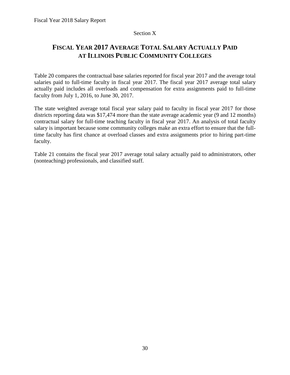## Section X

## <span id="page-33-0"></span>**FISCAL YEAR 2017 AVERAGE TOTAL SALARY ACTUALLY PAID AT ILLINOIS PUBLIC COMMUNITY COLLEGES**

Table 20 compares the contractual base salaries reported for fiscal year 2017 and the average total salaries paid to full-time faculty in fiscal year 2017. The fiscal year 2017 average total salary actually paid includes all overloads and compensation for extra assignments paid to full-time faculty from July 1, 2016, to June 30, 2017.

The state weighted average total fiscal year salary paid to faculty in fiscal year 2017 for those districts reporting data was \$17,474 more than the state average academic year (9 and 12 months) contractual salary for full-time teaching faculty in fiscal year 2017. An analysis of total faculty salary is important because some community colleges make an extra effort to ensure that the fulltime faculty has first chance at overload classes and extra assignments prior to hiring part-time faculty.

Table 21 contains the fiscal year 2017 average total salary actually paid to administrators, other (nonteaching) professionals, and classified staff.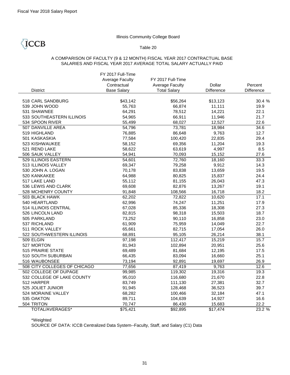## **TCCB**

### Table 20

### A COMPARISON OF FACULTY (9 & 12 MONTH) FISCAL YEAR 2017 CONTRACTUAL BASE SALARIES AND FISCAL YEAR 2017 AVERAGE TOTAL SALARY ACTUALLY PAID

|                                              | FY 2017 Full-Time<br><b>Average Faculty</b><br>Contractual | FY 2017 Full-Time<br><b>Average Faculty</b> | Dollar           | Percent           |
|----------------------------------------------|------------------------------------------------------------|---------------------------------------------|------------------|-------------------|
| <b>District</b>                              | <b>Base Salary</b>                                         | <b>Total Salary</b>                         | Difference       | <b>Difference</b> |
| 518 CARL SANDBURG                            | \$43,142                                                   | \$56,264                                    | \$13,123         | 30.4 %            |
| 539 JOHN WOOD                                |                                                            | 66,874                                      |                  |                   |
| 531 SHAWNEE                                  | 55,763                                                     |                                             | 11,111           | 19.9<br>22.1      |
|                                              | 64,291                                                     | 78,512                                      | 14,221           |                   |
| 533 SOUTHEASTERN ILLINOIS<br>534 SPOON RIVER | 54,965<br>55,499                                           | 66,911<br>68,027                            | 11,946<br>12,527 | 21.7<br>22.6      |
| 507 DANVILLE AREA                            | 54,796                                                     | 73,781                                      | 18,984           | 34.6              |
| 519 HIGHLAND                                 | 76,885                                                     | 86,648                                      | 9,763            | 12.7              |
| 501 KASKASKIA                                | 77,584                                                     | 100,420                                     | 22,835           | 29.4              |
| 523 KISHWAUKEE                               | 58,152                                                     | 69,356                                      | 11,204           | 19.3              |
| 521 REND LAKE                                | 58,622                                                     | 63,619                                      | 4,997            | 8.5               |
| 506 SAUK VALLEY                              | 54,941                                                     | 70,093                                      | 15,152           | 27.6              |
| 529 ILLINOIS EASTERN                         | 54,601                                                     | 72,760                                      | 18,160           | 33.3              |
| 513 ILLINOIS VALLEY                          | 69,347                                                     | 79,258                                      | 9,912            | 14.3              |
| 530 JOHN A. LOGAN                            | 70,178                                                     | 83,838                                      | 13,659           | 19.5              |
| 520 KANKAKEE                                 | 64,988                                                     | 80,825                                      | 15,837           | 24.4              |
| 517 LAKE LAND                                | 55,112                                                     | 81,155                                      | 26,043           | 47.3              |
| 536 LEWIS AND CLARK                          | 69,608                                                     | 82,876                                      | 13,267           | 19.1              |
| 528 MCHENRY COUNTY                           | 91,848                                                     | 108,566                                     | 16,718           | 18.2              |
| 503 BLACK HAWK                               | 62,202                                                     | 72,822                                      | 10,620           | 17.1              |
| 540 HEARTLAND                                | 62,996                                                     | 74,247                                      | 11,251           | 17.9              |
| 514 ILLINOIS CENTRAL                         | 67,028                                                     | 85,336                                      | 18,308           | 27.3              |
| 526 LINCOLN LAND                             | 82,815                                                     | 98,318                                      | 15,503           | 18.7              |
| 505 PARKLAND                                 | 73,252                                                     | 90,110                                      | 16,858           | 23.0              |
| 537 RICHLAND                                 | 61,909                                                     | 75,959                                      | 14,049           | 22.7              |
| 511 ROCK VALLEY                              | 65,661                                                     | 82,715                                      | 17,054           | 26.0              |
| 522 SOUTHWESTERN ILLINOIS                    | 68,891                                                     | 95,105                                      | 26,214           | 38.1              |
| 509 ELGIN                                    | 97,198                                                     | 112,417                                     | 15,219           | 15.7              |
| 527 MORTON                                   | 81,943                                                     | 102,894                                     | 20,951           | 25.6              |
| 515 PRAIRIE STATE                            | 69,489                                                     | 81,684                                      | 12,195           | 17.5              |
| 510 SOUTH SUBURBAN                           | 66,435                                                     | 83,094                                      | 16,660           | 25.1              |
| 516 WAUBONSEE                                | 73,194                                                     | 92,891                                      | 19,697           | 26.9              |
| 508 CITY COLLEGES OF CHICAGO                 | 77,656                                                     | 87,419                                      | 9,763            | 12.6              |
| 502 COLLEGE OF DUPAGE                        | 99,985                                                     | 119,302                                     | 19,316           | 19.3              |
| 532 COLLEGE OF LAKE COUNTY                   | 95,010                                                     | 116,680                                     | 21,670           | 22.8              |
| 512 HARPER                                   | 83,749                                                     | 111,130                                     | 27,381           | 32.7              |
| 525 JOLIET JUNIOR                            | 91,945                                                     | 128,468                                     | 36,523           | 39.7              |
| 524 MORAINE VALLEY                           | 68,282                                                     | 100,466                                     | 32,184           | 47.1              |
| 535 OAKTON                                   | 89,711                                                     | 104,639                                     | 14,927           | 16.6              |
| 504 TRITON                                   | 70,747                                                     | 86,430                                      | 15,683           | 22.2              |
| TOTAL/AVERAGES*                              | \$75,421                                                   | \$92,895                                    | \$17,474         | 23.2 %            |

\*Weighted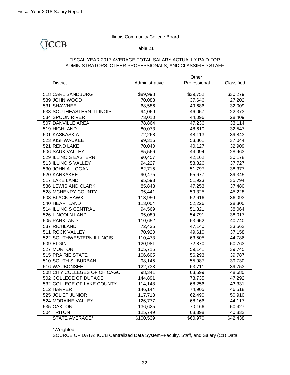ICCB

## Illinois Community College Board

### Table 21

## FISCAL YEAR 2017 AVERAGE TOTAL SALARY ACTUALLY PAID FOR ADMINISTRATORS, OTHER PROFESSIONALS, AND CLASSIFIED STAFF

|                              |                | Other        |            |
|------------------------------|----------------|--------------|------------|
| <b>District</b>              | Administrative | Professional | Classified |
|                              |                |              |            |
| 518 CARL SANDBURG            | \$89,998       | \$39,752     | \$30,279   |
| 539 JOHN WOOD                | 70,083         | 37,646       | 27,202     |
| 531 SHAWNEE                  | 68,586         | 49,686       | 32,009     |
| 533 SOUTHEASTERN ILLINOIS    | 94,069         | 46,057       | 22,373     |
| 534 SPOON RIVER              | 73,010         | 44,096       | 28,409     |
| 507 DANVILLE AREA            | 78,864         | 47,236       | 33,114     |
| 519 HIGHLAND                 | 80,073         | 48,610       | 32,547     |
| 501 KASKASKIA                | 72,268         | 48,113       | 39,843     |
| 523 KISHWAUKEE               | 99,316         | 53,861       | 37,044     |
| 521 REND LAKE                | 70,040         | 40,127       | 32,909     |
| 506 SAUK VALLEY              | 85,566         | 44,094       | 28,963     |
| 529 ILLINOIS EASTERN         | 90,457         | 42,162       | 30,178     |
| 513 ILLINOIS VALLEY          | 94,227         | 53,326       | 37,727     |
| 530 JOHN A. LOGAN            | 82,715         | 51,797       | 38,377     |
| 520 KANKAKEE                 | 90,475         | 55,677       | 39,345     |
| 517 LAKE LAND                | 95,593         | 51,923       | 35,794     |
| 536 LEWIS AND CLARK          | 85,843         | 47,253       | 37,480     |
| 528 MCHENRY COUNTY           | 95,441         | 59,325       | 45,228     |
| 503 BLACK HAWK               | 113,950        | 52,616       | 36,093     |
| 540 HEARTLAND                | 113,004        | 52,226       | 28,300     |
| 514 ILLINOIS CENTRAL         | 94,569         | 51,321       | 38,064     |
| 526 LINCOLN LAND             | 95,089         | 54,791       | 38,017     |
| 505 PARKLAND                 | 110,652        | 63,652       | 40,740     |
| 537 RICHLAND                 | 72,435         | 47,140       | 33,562     |
| 511 ROCK VALLEY              | 70,920         | 49,610       | 37,158     |
| 522 SOUTHWESTERN ILLINOIS    | 110,473        | 63,505       | 44,786     |
| 509 ELGIN                    | 120,981        | 72,870       | 50,763     |
| 527 MORTON                   | 105,715        | 59,141       | 39,745     |
| 515 PRAIRIE STATE            | 106,605        | 56,293       | 39,787     |
| 510 SOUTH SUBURBAN           | 98,145         | 55,987       | 39,730     |
| 516 WAUBONSEE                | 122,738        | 63,711       | 39,753     |
| 508 CITY COLLEGES OF CHICAGO | 98,341         | 63,599       | 48,680     |
| 502 COLLEGE OF DUPAGE        | 144,891        | 73,735       | 47,292     |
| 532 COLLEGE OF LAKE COUNTY   | 114,148        | 68,256       | 43,331     |
| 512 HARPER                   | 146,144        | 74,905       | 46,518     |
| 525 JOLIET JUNIOR            | 117,713        | 62,490       | 50,910     |
| 524 MORAINE VALLEY           | 126,777        | 68,166       | 44,117     |
| 535 OAKTON                   | 136,625        | 70,166       | 50,427     |
| 504 TRITON                   | 125,749        | 68,398       | 40,832     |
| <b>STATE AVERAGE*</b>        | \$100,539      | \$60,970     | \$42,438   |

\*Weighted